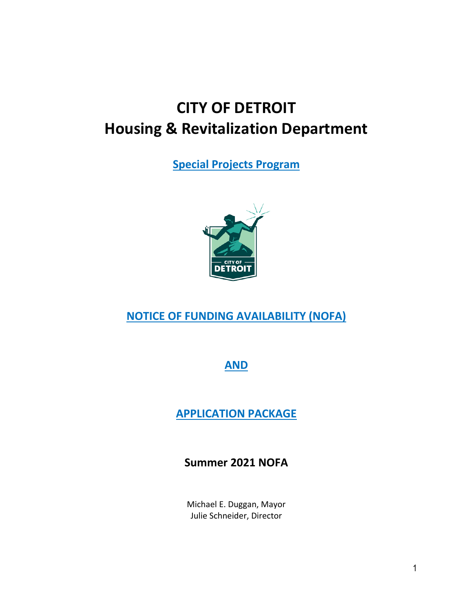# **CITY OF DETROIT Housing & Revitalization Department**

**Special Projects Program**



## **NOTICE OF FUNDING AVAILABILITY (NOFA)**

### **AND**

## **APPLICATION PACKAGE**

## **Summer 2021 NOFA**

Michael E. Duggan, Mayor Julie Schneider, Director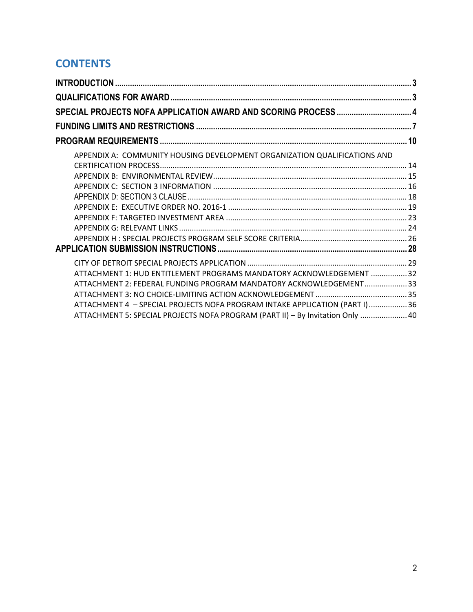## **CONTENTS**

| APPENDIX A: COMMUNITY HOUSING DEVELOPMENT ORGANIZATION QUALIFICATIONS AND      |  |
|--------------------------------------------------------------------------------|--|
|                                                                                |  |
|                                                                                |  |
|                                                                                |  |
|                                                                                |  |
|                                                                                |  |
|                                                                                |  |
|                                                                                |  |
|                                                                                |  |
|                                                                                |  |
|                                                                                |  |
| ATTACHMENT 1: HUD ENTITLEMENT PROGRAMS MANDATORY ACKNOWLEDGEMENT  32           |  |
| ATTACHMENT 2: FEDERAL FUNDING PROGRAM MANDATORY ACKNOWLEDGEMENT 33             |  |
|                                                                                |  |
| ATTACHMENT 4 - SPECIAL PROJECTS NOFA PROGRAM INTAKE APPLICATION (PART I)36     |  |
| ATTACHMENT 5: SPECIAL PROJECTS NOFA PROGRAM (PART II) - By Invitation Only  40 |  |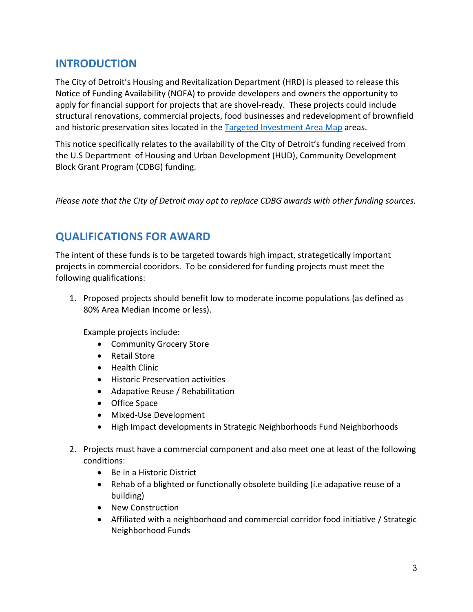## <span id="page-2-0"></span>**INTRODUCTION**

The City of Detroit's Housing and Revitalization Department (HRD) is pleased to release this Notice of Funding Availability (NOFA) to provide developers and owners the opportunity to apply for financial support for projects that are shovel-ready. These projects could include structural renovations, commercial projects, food businesses and redevelopment of brownfield and historic preservation sites located in the [Targeted Investment](https://detroitmi.gov/portals/0/docs/HousingAndRev/2016_Targeted_Multifamily_Planning_Areas_1.pdf) Area Map areas.

This notice specifically relates to the availability of the City of Detroit's funding received from the U.S Department of Housing and Urban Development (HUD), Community Development Block Grant Program (CDBG) funding.

*Please note that the City of Detroit may opt to replace CDBG awards with other funding sources.* 

### <span id="page-2-1"></span>**QUALIFICATIONS FOR AWARD**

The intent of these funds is to be targeted towards high impact, strategetically important projects in commercial cooridors. To be considered for funding projects must meet the following qualifications:

1. Proposed projects should benefit low to moderate income populations (as defined as 80% Area Median Income or less).

Example projects include:

- Community Grocery Store
- Retail Store
- Health Clinic
- Historic Preservation activities
- Adapative Reuse / Rehabilitation
- Office Space
- Mixed-Use Development
- High Impact developments in Strategic Neighborhoods Fund Neighborhoods
- 2. Projects must have a commercial component and also meet one at least of the following conditions:
	- Be in a Historic District
	- Rehab of a blighted or functionally obsolete building (i.e adapative reuse of a building)
	- New Construction
	- Affiliated with a neighborhood and commercial corridor food initiative / Strategic Neighborhood Funds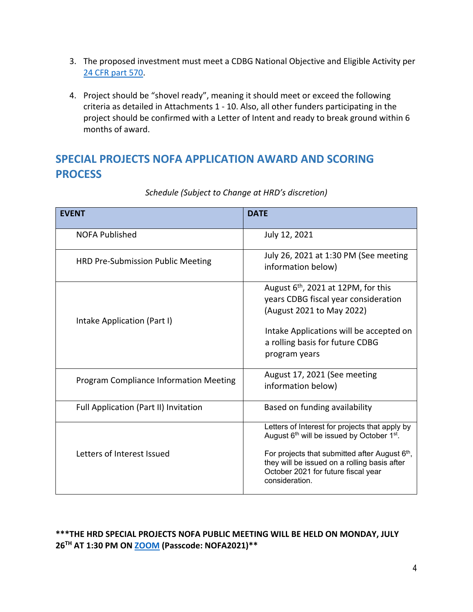- 3. The proposed investment must meet a CDBG National Objective and Eligible Activity per 24 CFR [part 570.](https://www.hudexchange.info/resource/3689/24-cfr-part-570-cdbg/)
- 4. Project should be "shovel ready", meaning it should meet or exceed the following criteria as detailed in Attachments 1 - 10. Also, all other funders participating in the project should be confirmed with a Letter of Intent and ready to break ground within 6 months of award.

## <span id="page-3-0"></span>**SPECIAL PROJECTS NOFA APPLICATION AWARD AND SCORING PROCESS**

| <b>EVENT</b>                                  | <b>DATE</b>                                                                                                                                                                                                                                                                    |
|-----------------------------------------------|--------------------------------------------------------------------------------------------------------------------------------------------------------------------------------------------------------------------------------------------------------------------------------|
| <b>NOFA Published</b>                         | July 12, 2021                                                                                                                                                                                                                                                                  |
| HRD Pre-Submission Public Meeting             | July 26, 2021 at 1:30 PM (See meeting<br>information below)                                                                                                                                                                                                                    |
| Intake Application (Part I)                   | August $6th$ , 2021 at 12PM, for this<br>years CDBG fiscal year consideration<br>(August 2021 to May 2022)<br>Intake Applications will be accepted on<br>a rolling basis for future CDBG<br>program years                                                                      |
| <b>Program Compliance Information Meeting</b> | August 17, 2021 (See meeting<br>information below)                                                                                                                                                                                                                             |
| Full Application (Part II) Invitation         | Based on funding availability                                                                                                                                                                                                                                                  |
| Letters of Interest Issued                    | Letters of Interest for projects that apply by<br>August 6 <sup>th</sup> will be issued by October 1 <sup>st</sup> .<br>For projects that submitted after August 6th,<br>they will be issued on a rolling basis after<br>October 2021 for future fiscal year<br>consideration. |

### *Schedule (Subject to Change at HRD's discretion)*

### **\*\*\*THE HRD SPECIAL PROJECTS NOFA PUBLIC MEETING WILL BE HELD ON MONDAY, JULY 26TH AT 1:30 PM ON [ZOOM](https://cityofdetroit.zoom.us/j/87442632711?pwd=RFR0c045WkhyNWZZWDBQZWhOSktKdz09) (Passcode: NOFA2021)\*\***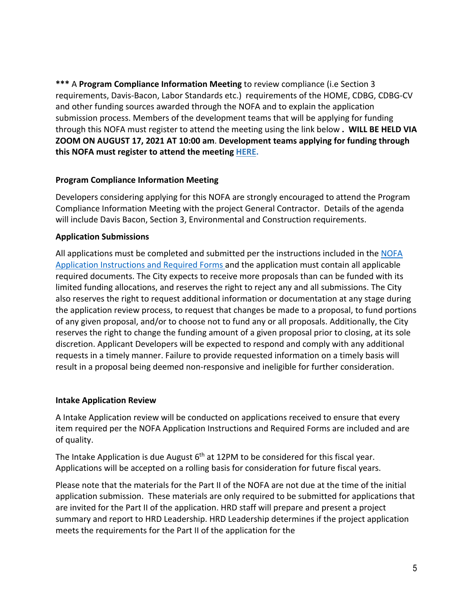**\*\*\*** A **Program Compliance Information Meeting** to review compliance (i.e Section 3 requirements, Davis-Bacon, Labor Standards etc.) requirements of the HOME, CDBG, CDBG-CV and other funding sources awarded through the NOFA and to explain the application submission process. Members of the development teams that will be applying for funding through this NOFA must register to attend the meeting using the link below **. WILL BE HELD VIA ZOOM ON AUGUST 17, 2021 AT 10:00 am**. **Development teams applying for funding through this NOFA must register to attend the meeting [HERE.](https://www.eventbrite.com/e/hrd-nofa-2021-program-compliance-information-meeting-tickets-162595163511)** 

#### **Program Compliance Information Meeting**

Developers considering applying for this NOFA are strongly encouraged to attend the Program Compliance Information Meeting with the project General Contractor. Details of the agenda will include Davis Bacon, Section 3, Environmental and Construction requirements.

#### **Application Submissions**

All applications must be completed and submitted per the instructions included in the NOFA Application Instructions and Required Forms and the application must contain all applicable required documents. The City expects to receive more proposals than can be funded with its limited funding allocations, and reserves the right to reject any and all submissions. The City also reserves the right to request additional information or documentation at any stage during the application review process, to request that changes be made to a proposal, to fund portions of any given proposal, and/or to choose not to fund any or all proposals. Additionally, the City reserves the right to change the funding amount of a given proposal prior to closing, at its sole discretion. Applicant Developers will be expected to respond and comply with any additional requests in a timely manner. Failure to provide requested information on a timely basis will result in a proposal being deemed non-responsive and ineligible for further consideration.

#### **Intake Application Review**

A Intake Application review will be conducted on applications received to ensure that every item required per the NOFA Application Instructions and Required Forms are included and are of quality.

The Intake Application is due August  $6<sup>th</sup>$  at 12PM to be considered for this fiscal year. Applications will be accepted on a rolling basis for consideration for future fiscal years.

Please note that the materials for the Part II of the NOFA are not due at the time of the initial application submission. These materials are only required to be submitted for applications that are invited for the Part II of the application. HRD staff will prepare and present a project summary and report to HRD Leadership. HRD Leadership determines if the project application meets the requirements for the Part II of the application for the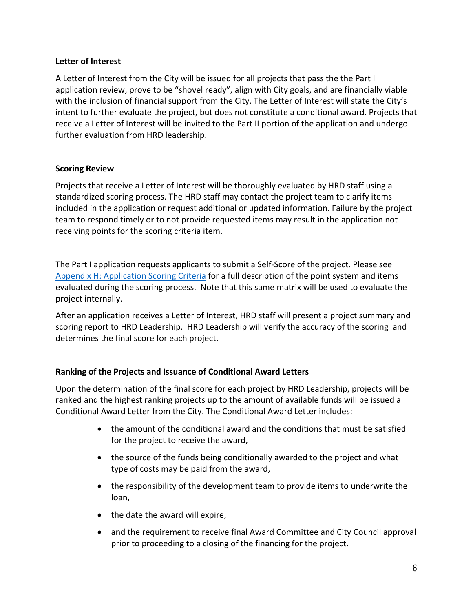#### **Letter of Interest**

A Letter of Interest from the City will be issued for all projects that pass the the Part I application review, prove to be "shovel ready", align with City goals, and are financially viable with the inclusion of financial support from the City. The Letter of Interest will state the City's intent to further evaluate the project, but does not constitute a conditional award. Projects that receive a Letter of Interest will be invited to the Part II portion of the application and undergo further evaluation from HRD leadership.

#### **Scoring Review**

Projects that receive a Letter of Interest will be thoroughly evaluated by HRD staff using a standardized scoring process. The HRD staff may contact the project team to clarify items included in the application or request additional or updated information. Failure by the project team to respond timely or to not provide requested items may result in the application not receiving points for the scoring criteria item.

The Part I application requests applicants to submit a Self-Score of the project. Please see [Appendix H: Application Scoring Criteria](#page-25-0) for a full description of the point system and items evaluated during the scoring process. Note that this same matrix will be used to evaluate the project internally.

After an application receives a Letter of Interest, HRD staff will present a project summary and scoring report to HRD Leadership. HRD Leadership will verify the accuracy of the scoring and determines the final score for each project.

### **Ranking of the Projects and Issuance of Conditional Award Letters**

Upon the determination of the final score for each project by HRD Leadership, projects will be ranked and the highest ranking projects up to the amount of available funds will be issued a Conditional Award Letter from the City. The Conditional Award Letter includes:

- the amount of the conditional award and the conditions that must be satisfied for the project to receive the award,
- the source of the funds being conditionally awarded to the project and what type of costs may be paid from the award,
- the responsibility of the development team to provide items to underwrite the loan,
- the date the award will expire,
- and the requirement to receive final Award Committee and City Council approval prior to proceeding to a closing of the financing for the project.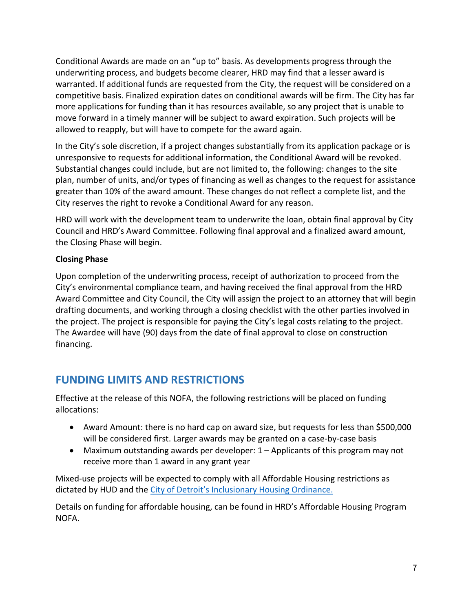Conditional Awards are made on an "up to" basis. As developments progress through the underwriting process, and budgets become clearer, HRD may find that a lesser award is warranted. If additional funds are requested from the City, the request will be considered on a competitive basis. Finalized expiration dates on conditional awards will be firm. The City has far more applications for funding than it has resources available, so any project that is unable to move forward in a timely manner will be subject to award expiration. Such projects will be allowed to reapply, but will have to compete for the award again.

In the City's sole discretion, if a project changes substantially from its application package or is unresponsive to requests for additional information, the Conditional Award will be revoked. Substantial changes could include, but are not limited to, the following: changes to the site plan, number of units, and/or types of financing as well as changes to the request for assistance greater than 10% of the award amount. These changes do not reflect a complete list, and the City reserves the right to revoke a Conditional Award for any reason.

HRD will work with the development team to underwrite the loan, obtain final approval by City Council and HRD's Award Committee. Following final approval and a finalized award amount, the Closing Phase will begin.

### **Closing Phase**

Upon completion of the underwriting process, receipt of authorization to proceed from the City's environmental compliance team, and having received the final approval from the HRD Award Committee and City Council, the City will assign the project to an attorney that will begin drafting documents, and working through a closing checklist with the other parties involved in the project. The project is responsible for paying the City's legal costs relating to the project. The Awardee will have (90) days from the date of final approval to close on construction financing.

## <span id="page-6-0"></span>**FUNDING LIMITS AND RESTRICTIONS**

Effective at the release of this NOFA, the following restrictions will be placed on funding allocations:

- Award Amount: there is no hard cap on award size, but requests for less than \$500,000 will be considered first. Larger awards may be granted on a case-by-case basis
- Maximum outstanding awards per developer: 1 Applicants of this program may not receive more than 1 award in any grant year

Mixed-use projects will be expected to comply with all Affordable Housing restrictions as dictated by HUD and the [City of Detroit's Inclusionary Housing Ordinance.](https://detroitmi.gov/portals/0/docs/HousingAndRev/ORDINANCE%20Inclusionary%20FINAL%20Adopted%202017%20Sept%2019.pdf.pdf?ver=2017-10-19-181310-850.) 

Details on funding for affordable housing, can be found in HRD's Affordable Housing Program NOFA.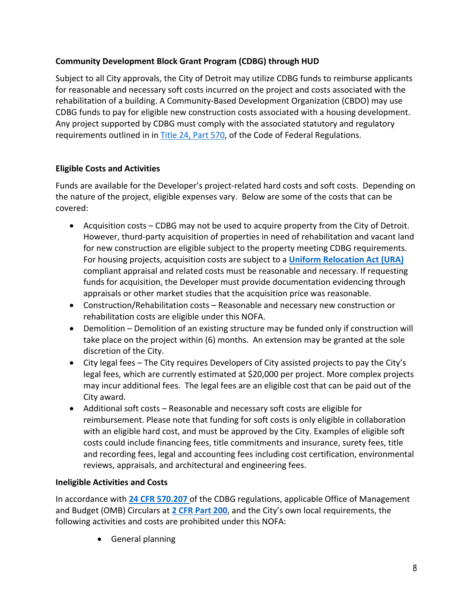### **Community Development Block Grant Program (CDBG) through HUD**

Subject to all City approvals, the City of Detroit may utilize CDBG funds to reimburse applicants for reasonable and necessary soft costs incurred on the project and costs associated with the rehabilitation of a building. A Community-Based Development Organization (CBDO) may use CDBG funds to pay for eligible new construction costs associated with a housing development. Any project supported by CDBG must comply with the associated statutory and regulatory requirements outlined in in [Title 24, Part 570,](https://www.hudexchange.info/resources/documents/24-CFR-Part%20-570-CDBGs.pdf) of the Code of Federal Regulations.

### **Eligible Costs and Activities**

Funds are available for the Developer's project-related hard costs and soft costs. Depending on the nature of the project, eligible expenses vary. Below are some of the costs that can be covered:

- Acquisition costs CDBG may not be used to acquire property from the City of Detroit. However, thurd-party acquisition of properties in need of rehabilitation and vacant land for new construction are eligible subject to the property meeting CDBG requirements. For housing projects, acquisition costs are subject to a **[Uniform Relocation Act \(URA\)](https://www.hudexchange.info/programs/relocation/overview/#overview-of-the-ura)** compliant appraisal and related costs must be reasonable and necessary. If requesting funds for acquisition, the Developer must provide documentation evidencing through appraisals or other market studies that the acquisition price was reasonable.
- Construction/Rehabilitation costs Reasonable and necessary new construction or rehabilitation costs are eligible under this NOFA.
- Demolition Demolition of an existing structure may be funded only if construction will take place on the project within (6) months. An extension may be granted at the sole discretion of the City.
- City legal fees The City requires Developers of City assisted projects to pay the City's legal fees, which are currently estimated at \$20,000 per project. More complex projects may incur additional fees. The legal fees are an eligible cost that can be paid out of the City award.
- Additional soft costs Reasonable and necessary soft costs are eligible for reimbursement. Please note that funding for soft costs is only eligible in collaboration with an eligible hard cost, and must be approved by the City. Examples of eligible soft costs could include financing fees, title commitments and insurance, surety fees, title and recording fees, legal and accounting fees including cost certification, environmental reviews, appraisals, and architectural and engineering fees.

### **Ineligible Activities and Costs**

In accordance with **24 [CFR 570.207](https://www.law.cornell.edu/cfr/text/24/570.207)** of the CDBG regulations, applicable Office of Management and Budget (OMB) Circulars at **[2 CFR Part 200](https://www.hudexchange.info/resources/documents/Notice-DC-2015-01-Transition-to-2-CFR-Part-200-Guidance.pdf)**, and the City's own local requirements, the following activities and costs are prohibited under this NOFA:

• General planning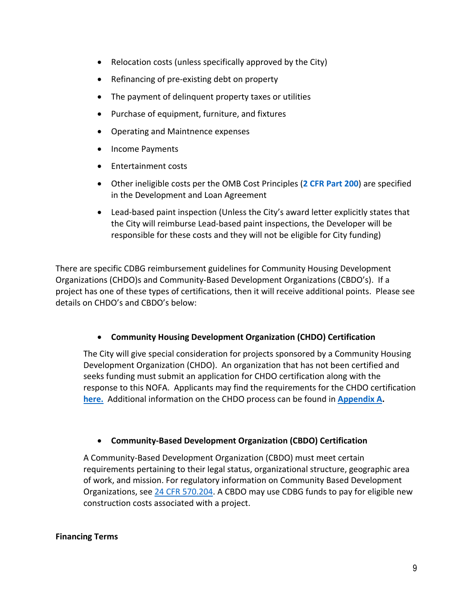- Relocation costs (unless specifically approved by the City)
- Refinancing of pre-existing debt on property
- The payment of delinquent property taxes or utilities
- Purchase of equipment, furniture, and fixtures
- Operating and Maintnence expenses
- Income Payments
- Entertainment costs
- Other ineligible costs per the OMB Cost Principles (**[2 CFR Part 200](https://www.hudexchange.info/resources/documents/Notice-DC-2015-01-Transition-to-2-CFR-Part-200-Guidance.pdf)**) are specified in the Development and Loan Agreement
- Lead-based paint inspection (Unless the City's award letter explicitly states that the City will reimburse Lead-based paint inspections, the Developer will be responsible for these costs and they will not be eligible for City funding)

There are specific CDBG reimbursement guidelines for Community Housing Development Organizations (CHDO)s and Community-Based Development Organizations (CBDO's). If a project has one of these types of certifications, then it will receive additional points. Please see details on CHDO's and CBDO's below:

### • **Community Housing Development Organization (CHDO) Certification**

The City will give special consideration for projects sponsored by a Community Housing Development Organization (CHDO). An organization that has not been certified and seeks funding must submit an application for CHDO certification along with the response to this NOFA. Applicants may find the requirements for the CHDO certification **[here.](http://www.detroitmi.gov/Portals/0/docs/Planning/PDF/CHDO%20Certifications-Applications.pdf)** Additional information on the CHDO process can be found in **[Appendix A.](#page-13-0)**

### • **Community-Based Development Organization (CBDO) Certification**

A Community-Based Development Organization (CBDO) must meet certain requirements pertaining to their legal status, organizational structure, geographic area of work, and mission. For regulatory information on Community Based Development Organizations, see [24 CFR 570.204.](https://www.law.cornell.edu/cfr/text/24/570.204) A CBDO may use CDBG funds to pay for eligible new construction costs associated with a project.

#### **Financing Terms**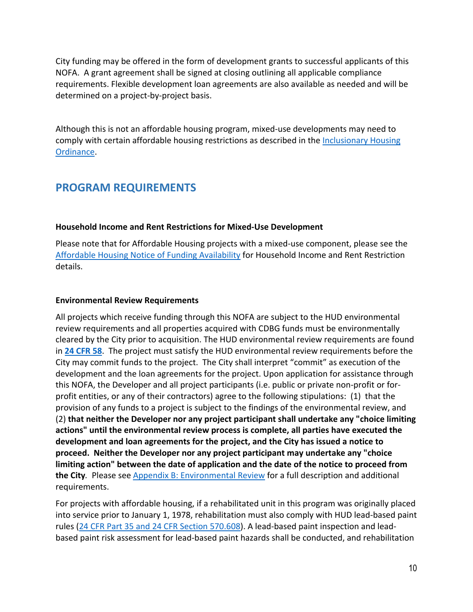City funding may be offered in the form of development grants to successful applicants of this NOFA. A grant agreement shall be signed at closing outlining all applicable compliance requirements. Flexible development loan agreements are also available as needed and will be determined on a project-by-project basis.

Although this is not an affordable housing program, mixed-use developments may need to comply with certain affordable housing restrictions as described in the [Inclusionary Housing](https://detroitmi.gov/sites/detroitmi.localhost/files/2019-04/2019-04-05%20Inclusionary%20Housing%20Update%20April%202019.pdf)  [Ordinance.](https://detroitmi.gov/sites/detroitmi.localhost/files/2019-04/2019-04-05%20Inclusionary%20Housing%20Update%20April%202019.pdf)

## <span id="page-9-0"></span>**PROGRAM REQUIREMENTS**

#### **Household Income and Rent Restrictions for Mixed-Use Development**

Please note that for Affordable Housing projects with a mixed-use component, please see the [Affordable Housing Notice of Funding Availability](https://detroitmi.gov/sites/detroitmi.localhost/files/2020-09/HRD%20NOFA%209-21-2020%20updated.pdf) for Household Income and Rent Restriction details.

#### **Environmental Review Requirements**

All projects which receive funding through this NOFA are subject to the HUD environmental review requirements and all properties acquired with CDBG funds must be environmentally cleared by the City prior to acquisition. The HUD environmental review requirements are found in **[24 CFR 58](https://www.hudexchange.info/resources/documents/ERProcedures_24CFR58.pdf)**. The project must satisfy the HUD environmental review requirements before the City may commit funds to the project. The City shall interpret "commit" as execution of the development and the loan agreements for the project. Upon application for assistance through this NOFA, the Developer and all project participants (i.e. public or private non-profit or forprofit entities, or any of their contractors) agree to the following stipulations: (1) that the provision of any funds to a project is subject to the findings of the environmental review, and (2) **that neither the Developer nor any project participant shall undertake any "choice limiting actions" until the environmental review process is complete, all parties have executed the development and loan agreements for the project, and the City has issued a notice to proceed. Neither the Developer nor any project participant may undertake any "choice limiting action" between the date of application and the date of the notice to proceed from the City***.* Please see [Appendix B: Environmental Review](#page-14-0) for a full description and additional requirements.

For projects with affordable housing, if a rehabilitated unit in this program was originally placed into service prior to January 1, 1978, rehabilitation must also comply with HUD lead-based paint rules [\(24 CFR Part 35 and 24 CFR Section 570.608\)](https://www.gpo.gov/fdsys/pkg/CFR-1998-title24-vol3/pdf/CFR-1998-title24-vol3-sec570-608.pdf). A lead-based paint inspection and leadbased paint risk assessment for lead-based paint hazards shall be conducted, and rehabilitation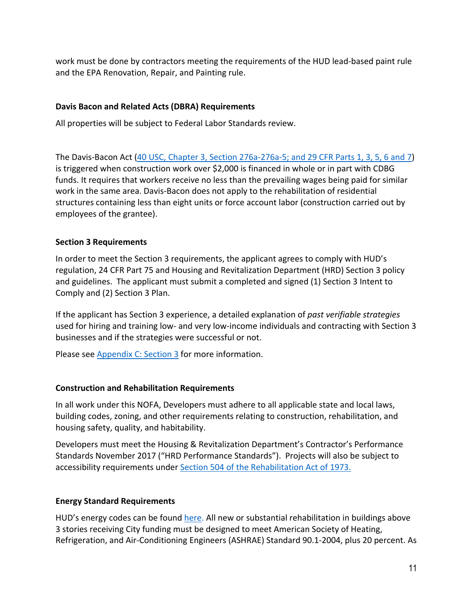work must be done by contractors meeting the requirements of the HUD lead-based paint rule and the EPA Renovation, Repair, and Painting rule.

### **Davis Bacon and Related Acts (DBRA) Requirements**

All properties will be subject to Federal Labor Standards review.

The Davis-Bacon Act [\(40 USC, Chapter 3, Section 276a-276a-5; and 29 CFR Parts 1, 3, 5, 6 and 7\)](https://www.hud.gov/sites/documents/13441AII-4SECH.PDF) is triggered when construction work over \$2,000 is financed in whole or in part with CDBG funds. It requires that workers receive no less than the prevailing wages being paid for similar work in the same area. Davis-Bacon does not apply to the rehabilitation of residential structures containing less than eight units or force account labor (construction carried out by employees of the grantee).

### **Section 3 Requirements**

In order to meet the Section 3 requirements, the applicant agrees to comply with HUD's regulation, 24 CFR Part 75 and Housing and Revitalization Department (HRD) Section 3 policy and guidelines. The applicant must submit a completed and signed (1) Section 3 Intent to Comply and (2) Section 3 Plan.

If the applicant has Section 3 experience, a detailed explanation of *past verifiable strategies* used for hiring and training low- and very low-income individuals and contracting with Section 3 businesses and if the strategies were successful or not.

Please see Appendix [C: Section 3](#page-15-0) for more information.

### **Construction and Rehabilitation Requirements**

In all work under this NOFA, Developers must adhere to all applicable state and local laws, building codes, zoning, and other requirements relating to construction, rehabilitation, and housing safety, quality, and habitability.

Developers must meet the Housing & Revitalization Department's Contractor's Performance Standards November 2017 ("HRD Performance Standards"). Projects will also be subject to accessibility requirements under [Section 504 of the Rehabilitation Act of 1973.](https://www.dol.gov/agencies/oasam/centers-offices/civil-rights-center/statutes/section-504-rehabilitation-act-of-1973)

### **Energy Standard Requirements**

HUD's energy codes can be found here. All new or substantial rehabilitation in buildings above 3 stories receiving City funding must be designed to meet American Society of Heating, Refrigeration, and Air-Conditioning Engineer[s \(ASHRAE\) Standard 90.1-2004,](https://www.energycodes.gov/sites/default/files/becu/femp_session3_presentation.pdf) plus 20 percent. As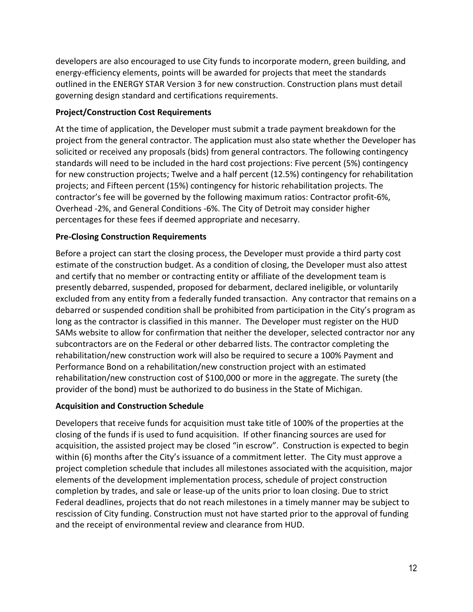developers are also encouraged to use City funds to incorporate modern, green building, and energy-efficiency elements, points will be awarded for projects that meet the standards outlined in the [ENERGY STAR Version 3](https://www.energystar.gov/sites/default/files/ES%20NPR%20v85%202018-05-16_clean.pdf) for new construction. Construction plans must detail governing design standard and certifications requirements.

### **Project/Construction Cost Requirements**

At the time of application, the Developer must submit a trade payment breakdown for the project from the general contractor. The application must also state whether the Developer has solicited or received any proposals (bids) from general contractors. The following contingency standards will need to be included in the hard cost projections: Five percent (5%) contingency for new construction projects; Twelve and a half percent (12.5%) contingency for rehabilitation projects; and Fifteen percent (15%) contingency for historic rehabilitation projects. The contractor's fee will be governed by the following maximum ratios: Contractor profit-6%, Overhead -2%, and General Conditions -6%. The City of Detroit may consider higher percentages for these fees if deemed appropriate and necesarry.

### **Pre-Closing Construction Requirements**

Before a project can start the closing process, the Developer must provide a third party cost estimate of the construction budget. As a condition of closing, the Developer must also attest and certify that no member or contracting entity or affiliate of the development team is presently debarred, suspended, proposed for debarment, declared ineligible, or voluntarily excluded from any entity from a federally funded transaction. Any contractor that remains on a debarred or suspended condition shall be prohibited from participation in the City's program as long as the contractor is classified in this manner. The Developer must register on the HUD SAMs website to allow for confirmation that neither the developer, selected contractor nor any subcontractors are on the Federal or other debarred lists. The contractor completing the rehabilitation/new construction work will also be required to secure a 100% Payment and Performance Bond on a rehabilitation/new construction project with an estimated rehabilitation/new construction cost of \$100,000 or more in the aggregate. The surety (the provider of the bond) must be authorized to do business in the State of Michigan.

### **Acquisition and Construction Schedule**

Developers that receive funds for acquisition must take title of 100% of the properties at the closing of the funds if is used to fund acquisition. If other financing sources are used for acquisition, the assisted project may be closed "in escrow". Construction is expected to begin within (6) months after the City's issuance of a commitment letter. The City must approve a project completion schedule that includes all milestones associated with the acquisition, major elements of the development implementation process, schedule of project construction completion by trades, and sale or lease-up of the units prior to loan closing. Due to strict Federal deadlines, projects that do not reach milestones in a timely manner may be subject to rescission of City funding. Construction must not have started prior to the approval of funding and the receipt of environmental review and clearance from HUD.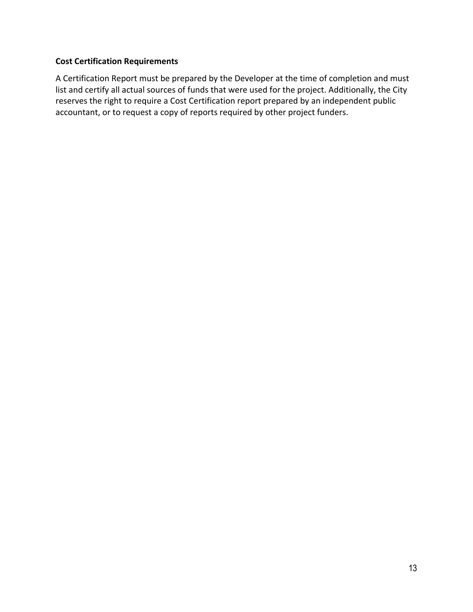### **Cost Certification Requirements**

A Certification Report must be prepared by the Developer at the time of completion and must list and certify all actual sources of funds that were used for the project. Additionally, the City reserves the right to require a Cost Certification report prepared by an independent public accountant, or to request a copy of reports required by other project funders.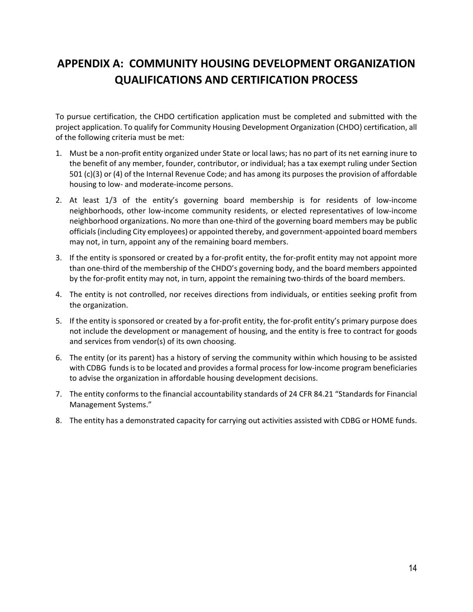## <span id="page-13-0"></span>**APPENDIX A: COMMUNITY HOUSING DEVELOPMENT ORGANIZATION QUALIFICATIONS AND CERTIFICATION PROCESS**

To pursue certification, the CHDO certification application must be completed and submitted with the project application. To qualify for Community Housing Development Organization (CHDO) certification, all of the following criteria must be met:

- 1. Must be a non-profit entity organized under State or local laws; has no part of its net earning inure to the benefit of any member, founder, contributor, or individual; has a tax exempt ruling under Section 501 (c)(3) or (4) of the Internal Revenue Code; and has among its purposes the provision of affordable housing to low- and moderate-income persons.
- 2. At least 1/3 of the entity's governing board membership is for residents of low-income neighborhoods, other low-income community residents, or elected representatives of low-income neighborhood organizations. No more than one-third of the governing board members may be public officials (including City employees) or appointed thereby, and government-appointed board members may not, in turn, appoint any of the remaining board members.
- 3. If the entity is sponsored or created by a for-profit entity, the for-profit entity may not appoint more than one-third of the membership of the CHDO's governing body, and the board members appointed by the for-profit entity may not, in turn, appoint the remaining two-thirds of the board members.
- 4. The entity is not controlled, nor receives directions from individuals, or entities seeking profit from the organization.
- 5. If the entity is sponsored or created by a for-profit entity, the for-profit entity's primary purpose does not include the development or management of housing, and the entity is free to contract for goods and services from vendor(s) of its own choosing.
- 6. The entity (or its parent) has a history of serving the community within which housing to be assisted with CDBG funds is to be located and provides a formal process for low-income program beneficiaries to advise the organization in affordable housing development decisions.
- 7. The entity conforms to the financial accountability standards of 24 CFR 84.21 "Standards for Financial Management Systems."
- 8. The entity has a demonstrated capacity for carrying out activities assisted with CDBG or HOME funds.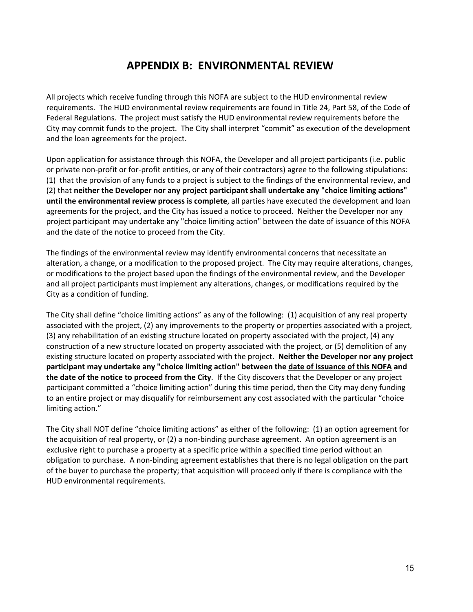### **APPENDIX B: ENVIRONMENTAL REVIEW**

<span id="page-14-0"></span>All projects which receive funding through this NOFA are subject to the HUD environmental review requirements. The HUD environmental review requirements are found in Title 24, Part 58, of the Code of Federal Regulations. The project must satisfy the HUD environmental review requirements before the City may commit funds to the project. The City shall interpret "commit" as execution of the development and the loan agreements for the project.

Upon application for assistance through this NOFA, the Developer and all project participants (i.e. public or private non-profit or for-profit entities, or any of their contractors) agree to the following stipulations: (1) that the provision of any funds to a project is subject to the findings of the environmental review, and (2) that **neither the Developer nor any project participant shall undertake any "choice limiting actions" until the environmental review process is complete**, all parties have executed the development and loan agreements for the project, and the City has issued a notice to proceed. Neither the Developer nor any project participant may undertake any "choice limiting action" between the date of issuance of this NOFA and the date of the notice to proceed from the City.

The findings of the environmental review may identify environmental concerns that necessitate an alteration, a change, or a modification to the proposed project. The City may require alterations, changes, or modifications to the project based upon the findings of the environmental review, and the Developer and all project participants must implement any alterations, changes, or modifications required by the City as a condition of funding.

The City shall define "choice limiting actions" as any of the following: (1) acquisition of any real property associated with the project, (2) any improvements to the property or properties associated with a project, (3) any rehabilitation of an existing structure located on property associated with the project, (4) any construction of a new structure located on property associated with the project, or (5) demolition of any existing structure located on property associated with the project. **Neither the Developer nor any project participant may undertake any "choice limiting action" between the date of issuance of this NOFA and the date of the notice to proceed from the City**. If the City discovers that the Developer or any project participant committed a "choice limiting action" during this time period, then the City may deny funding to an entire project or may disqualify for reimbursement any cost associated with the particular "choice limiting action."

The City shall NOT define "choice limiting actions" as either of the following: (1) an option agreement for the acquisition of real property, or (2) a non-binding purchase agreement. An option agreement is an exclusive right to purchase a property at a specific price within a specified time period without an obligation to purchase. A non-binding agreement establishes that there is no legal obligation on the part of the buyer to purchase the property; that acquisition will proceed only if there is compliance with the HUD environmental requirements.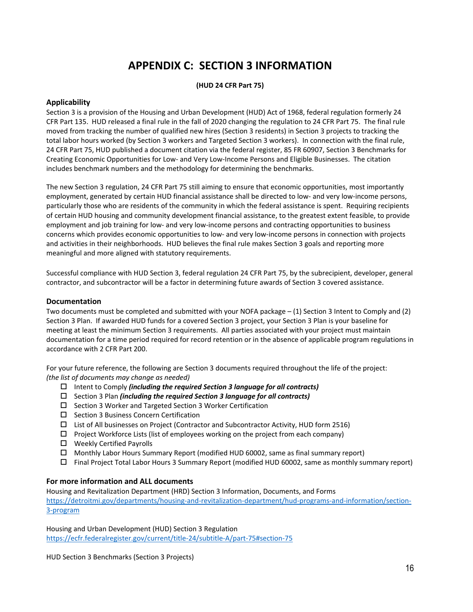## **APPENDIX C: SECTION 3 INFORMATION**

#### **(HUD 24 CFR Part 75)**

#### <span id="page-15-0"></span>**Applicability**

Section 3 is a provision of the Housing and Urban Development (HUD) Act of 1968, federal regulation formerly 24 CFR Part 135. HUD released a final rule in the fall of 2020 changing the regulation to 24 CFR Part 75. The final rule moved from tracking the number of qualified new hires (Section 3 residents) in Section 3 projects to tracking the total labor hours worked (by Section 3 workers and Targeted Section 3 workers). In connection with the final rule, 24 CFR Part 75, HUD published a document citation via the federal register, 85 FR 60907, Section 3 Benchmarks for Creating Economic Opportunities for Low- and Very Low-Income Persons and Eligible Businesses. The citation includes benchmark numbers and the methodology for determining the benchmarks.

The new Section 3 regulation, 24 CFR Part 75 still aiming to ensure that economic opportunities, most importantly employment, generated by certain HUD financial assistance shall be directed to low- and very low-income persons, particularly those who are residents of the community in which the federal assistance is spent. Requiring recipients of certain HUD housing and community development financial assistance, to the greatest extent feasible, to provide employment and job training for low- and very low-income persons and contracting opportunities to business concerns which provides economic opportunities to low- and very low-income persons in connection with projects and activities in their neighborhoods. HUD believes the final rule makes Section 3 goals and reporting more meaningful and more aligned with statutory requirements.

Successful compliance with HUD Section 3, federal regulation 24 CFR Part 75, by the subrecipient, developer, general contractor, and subcontractor will be a factor in determining future awards of Section 3 covered assistance.

#### **Documentation**

Two documents must be completed and submitted with your NOFA package – (1) Section 3 Intent to Comply and (2) Section 3 Plan. If awarded HUD funds for a covered Section 3 project, your Section 3 Plan is your baseline for meeting at least the minimum Section 3 requirements. All parties associated with your project must maintain documentation for a time period required for record retention or in the absence of applicable program regulations in accordance with 2 CFR Part 200.

For your future reference, the following are Section 3 documents required throughout the life of the project: *(the list of documents may change as needed)*

- Intent to Comply *(including the required Section 3 language for all contracts)*
- Section 3 Plan *(including the required Section 3 language for all contracts)*
- $\square$  Section 3 Worker and Targeted Section 3 Worker Certification
- $\square$  Section 3 Business Concern Certification
- List of All businesses on Project (Contractor and Subcontractor Activity, HUD form 2516)
- $\Box$  Project Workforce Lists (list of employees working on the project from each company)
- Weekly Certified Payrolls
- $\Box$  Monthly Labor Hours Summary Report (modified HUD 60002, same as final summary report)
- Final Project Total Labor Hours 3 Summary Report (modified HUD 60002, same as monthly summary report)

#### **For more information and ALL documents**

Housing and Revitalization Department (HRD) Section 3 Information, Documents, and Forms [https://detroitmi.gov/departments/housing-and-revitalization-department/hud-programs-and-information/section-](https://detroitmi.gov/departments/housing-and-revitalization-department/hud-programs-and-information/section-3-program)[3-program](https://detroitmi.gov/departments/housing-and-revitalization-department/hud-programs-and-information/section-3-program)

Housing and Urban Development (HUD) Section 3 Regulation <https://ecfr.federalregister.gov/current/title-24/subtitle-A/part-75#section-75>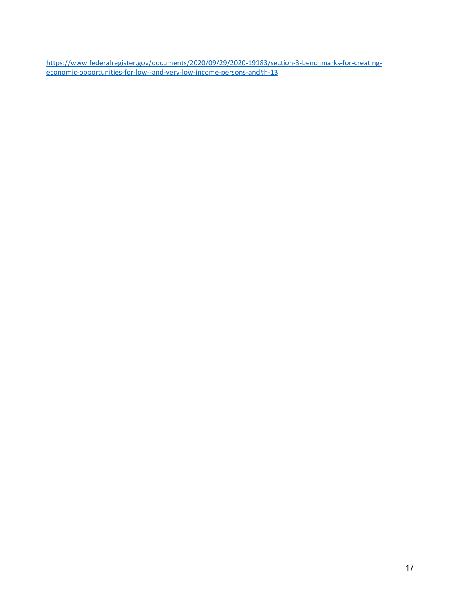[https://www.federalregister.gov/documents/2020/09/29/2020-19183/section-3-benchmarks-for-creating](https://www.federalregister.gov/documents/2020/09/29/2020-19183/section-3-benchmarks-for-creating-economic-opportunities-for-low--and-very-low-income-persons-and#h-13)[economic-opportunities-for-low--and-very-low-income-persons-and#h-13](https://www.federalregister.gov/documents/2020/09/29/2020-19183/section-3-benchmarks-for-creating-economic-opportunities-for-low--and-very-low-income-persons-and#h-13)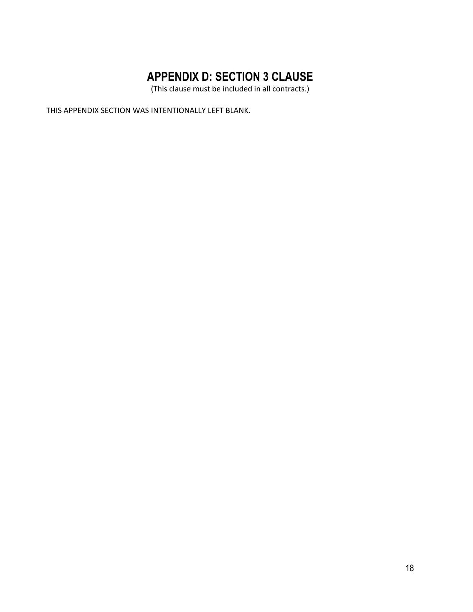# **APPENDIX D: SECTION 3 CLAUSE**

(This clause must be included in all contracts.)

<span id="page-17-0"></span>THIS APPENDIX SECTION WAS INTENTIONALLY LEFT BLANK.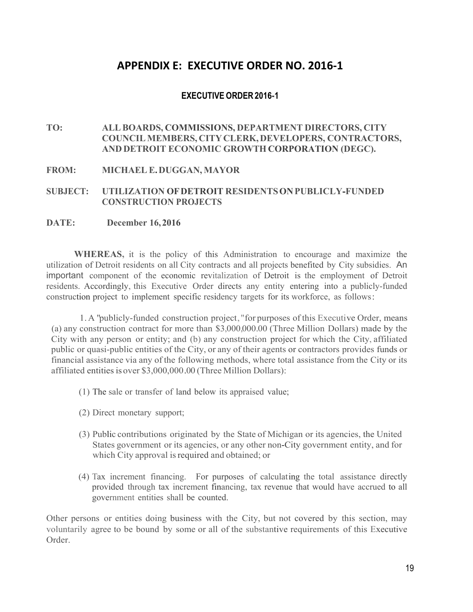### **APPENDIX E: EXECUTIVE ORDER NO. 2016-1**

### **EXECUTIVE ORDER2016-1**

<span id="page-18-0"></span>**TO: ALLBOARDS, COMMISSIONS, DEPARTMENT DIRECTORS, CITY COUNCIL MEMBERS, CITYCLERK, DEVELOPERS, CONTRACTORS, AND DETROIT ECONOMIC GROWTH CORPORATION (DEGC).**

#### **FROM: MICHAEL E.DUGGAN, MAYOR**

#### **SUBJECT: UTILIZATION OFDETROIT RESIDENTSONPUBLICLY-FUNDED CONSTRUCTION PROJECTS**

#### **DATE: December 16,2016**

**WHEREAS,** it is the policy of this Administration to encourage and maximize the utilization of Detroit residents on all City contracts and all projects benefited by City subsidies. An important component of the economic revitalization of Detroit is the employment of Detroit residents. Accordingly, this Executive Order directs any entity entering into a publicly-funded construction project to implement specific residency targets for its workforce, as follows:

1.A "publicly-funded construction project, "for purposes of this Executive Order, means (a) any construction contract for more than \$3,000,000.00 (Three Million Dollars) made by the City with any person or entity; and (b) any construction project for which the City, affiliated public or quasi-public entities of the City, or any of their agents or contractors provides funds or financial assistance via any of the following methods, where total assistance from the City or its affiliated entities is over \$3,000,000.00 (Three Million Dollars):

- (1) The sale or transfer of land below its appraised value;
- (2) Direct monetary support;
- (3) Public contributions originated by the State of Michigan or its agencies, the United States government or its agencies, or any other non-City government entity, and for which City approval is required and obtained; or
- (4) Tax increment financing. For purposes of calculating the total assistance directly provided through tax increment financing, tax revenue that would have accrued to all government entities shall be counted.

Other persons or entities doing business with the City, but not covered by this section, may voluntarily agree to be bound by some or all of the substantive requirements of this Executive Order.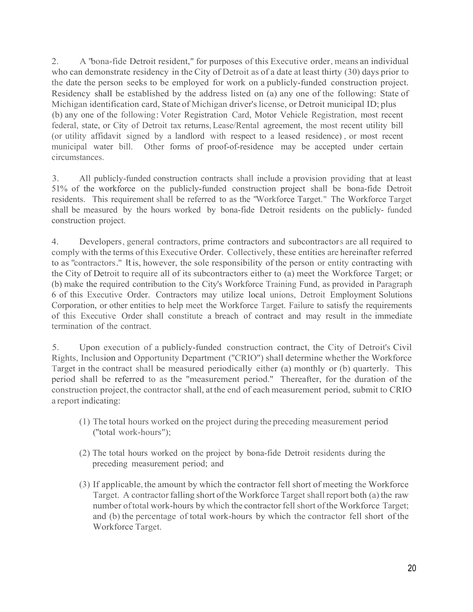2. A "bona-fide Detroit resident," for purposes of this Executive order, means an individual who can demonstrate residency in the City of Detroit as of a date at least thirty (30) days prior to the date the person seeks to be employed for work on a publicly-funded construction project. Residency shall be established by the address listed on (a) any one of the following: State of Michigan identification card, State of Michigan driver's license, or Detroit municipal ID; plus (b) any one of the following: Voter Registration Card, Motor Vehicle Registration, most recent federal, state, or City of Detroit tax returns, Lease/Rental agreement, the most recent utility bill (or utility affidavit signed by a landlord with respect to a leased residence) , or most recent municipal water bill. Other forms of proof-of-residence may be accepted under certain circumstances.

3. All publicly-funded construction contracts shall include a provision providing that at least 51% of the workforce on the publicly-funded construction project shall be bona-fide Detroit residents. This requirement shall be referred to as the "Workforce Target." The Workforce Target shall be measured by the hours worked by bona-fide Detroit residents on the publicly- funded construction project.

4. Developers, general contractors, prime contractors and subcontractors are all required to comply with the terms of this Executive Order. Collectively, these entities are hereinafter referred to as "contractors." It is, however, the sole responsibility of the person or entity contracting with the City of Detroit to require all of its subcontractors either to (a) meet the Workforce Target; or (b) make the required contribution to the City's Workforce Training Fund, as provided in Paragraph 6 of this Executive Order. Contractors may utilize local unions, Detroit Employment Solutions Corporation, or other entities to help meet the Workforce Target. Failure to satisfy the requirements of this Executive Order shall constitute a breach of contract and may result in the immediate termination of the contract.

5. Upon execution of a publicly-funded construction contract, the City of Detroit's Civil Rights, Inclusion and Opportunity Department (''CRIO") shall determine whether the Workforce Target in the contract shall be measured periodically either (a) monthly or (b) quarterly. This period shall be referred to as the "measurement period." Thereafter, for the duration of the construction project, the contractor shall, at the end of each measurement period, submit to CRIO a report indicating:

- (1) The total hours worked on the project during the preceding measurement period (''total work-hours");
- (2) The total hours worked on the project by bona-fide Detroit residents during the preceding measurement period; and
- (3) If applicable, the amount by which the contractor fell short of meeting the Workforce Target. A contractor falling short of the Workforce Target shall report both (a) the raw number of total work-hours by which the contractor fell short of the Workforce Target; and (b) the percentage of total work-hours by which the contractor fell short of the Workforce Target.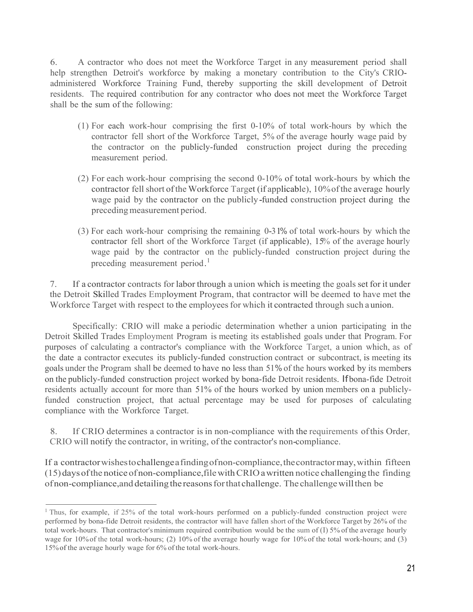6. A contractor who does not meet the Workforce Target in any measurement period shall help strengthen Detroit's workforce by making a monetary contribution to the City's CRIOadministered Workforce Training Fund, thereby supporting the skill development of Detroit residents. The required contribution for any contractor who does not meet the Workforce Target shall be the sum of the following:

- (1) For each work-hour comprising the first 0-10% of total work-hours by which the contractor fell short of the Workforce Target, 5% of the average hourly wage paid by the contractor on the publicly-funded construction project during the preceding measurement period.
- (2) For each work-hour comprising the second 0-10% of total work-hours by which the contractor fell short of the Workforce Target (if applicable), 10% of the average hourly wage paid by the contractor on the publicly-funded construction project during the preceding measurement period.
- (3) For each work-hour comprising the remaining 0-31% of total work-hours by which the contractor fell short of the Workforce Target (if applicable), 15% of the average hourly wage paid by the contractor on the publicly-funded construction project during the preceding measurement period.<sup>1</sup>

7. If a contractor contracts for labor through a union which is meeting the goals set for it under the Detroit Skilled Trades Employment Program, that contractor will be deemed to have met the Workforce Target with respect to the employees for which it contracted through such a union.

Specifically: CRIO will make a periodic determination whether a union participating in the Detroit Skilled Trades Employment Program is meeting its established goals under that Program. For purposes of calculating a contractor's compliance with the Workforce Target, a union which, as of the date a contractor executes its publicly-funded construction contract or subcontract, is meeting its goals under the Program shall be deemed to have no less than 51% of the hours worked by its members on the publicly-funded construction project worked by bona-fide Detroit residents. Ifbona-fide Detroit residents actually account for more than 51% of the hours worked by union members on a publiclyfunded construction project, that actual percentage may be used for purposes of calculating compliance with the Workforce Target.

8. If CRIO determines a contractor is in non-compliance with the requirements ofthis Order, CRIO will notify the contractor, in writing, of the contractor's non-compliance.

If a contractorwishestochallengeafindingofnon-compliance,thecontractormay,within fifteen (15)daysofthe noticeof non-compliance, filewithCRIOawritten notice challenging the finding of non-compliance, and detailing the reasons for that challenge. The challenge will then be

<sup>&</sup>lt;sup>1</sup> Thus, for example, if 25% of the total work-hours performed on a publicly-funded construction project were performed by bona-fide Detroit residents, the contractor will have fallen short of the Workforce Target by 26% of the total work-hours. That contractor's minimum required contribution would be the sum of  $(I)$  5% of the average hourly wage for 10% of the total work-hours; (2) 10% of the average hourly wage for 10% of the total work-hours; and (3) 15%of the average hourly wage for 6% of the total work-hours.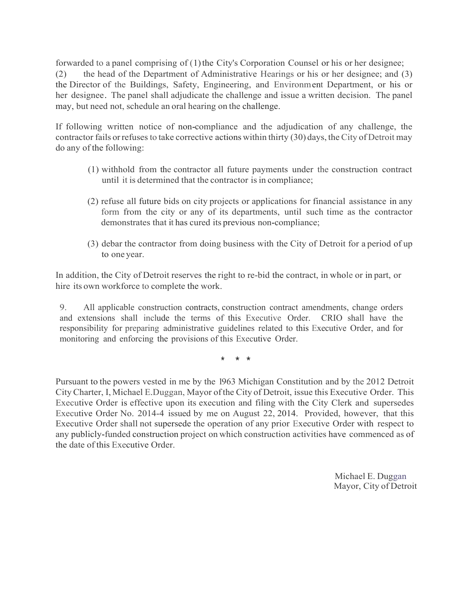forwarded to a panel comprising of  $(1)$  the City's Corporation Counsel or his or her designee; (2) the head of the Department of Administrative Hearings or his or her designee; and (3) the Director of the Buildings, Safety, Engineering, and Environment Department, or his or her designee. The panel shall adjudicate the challenge and issue a written decision. The panel may, but need not, schedule an oral hearing on the challenge.

If following written notice of non-compliance and the adjudication of any challenge, the contractor fails orrefuses to take corrective actions within thirty (30) days, the City of Detroit may do any of the following:

- (1) withhold from the contractor all future payments under the construction contract until it is determined that the contractor is in compliance;
- (2) refuse all future bids on city projects or applications for financial assistance in any form from the city or any of its departments, until such time as the contractor demonstrates that it has cured its previous non-compliance;
- (3) debar the contractor from doing business with the City of Detroit for a period of up to one year.

In addition, the City of Detroit reserves the right to re-bid the contract, in whole or in part, or hire its own workforce to complete the work.

9. All applicable construction contracts, construction contract amendments, change orders and extensions shall include the terms of this Executive Order. CRIO shall have the responsibility for preparing administrative guidelines related to this Executive Order, and for monitoring and enforcing the provisions of this Executive Order.

\* \* \*

Pursuant to the powers vested in me by the 1963 Michigan Constitution and by the 2012 Detroit City Charter, I, Michael E.Duggan, Mayor ofthe City of Detroit, issue this Executive Order. This Executive Order is effective upon its execution and filing with the City Clerk and supersedes Executive Order No. 2014-4 issued by me on August 22, 2014. Provided, however, that this Executive Order shall not supersede the operation of any prior Executive Order with respect to any publicly-funded construction project on which construction activities have commenced as of the date of this Executive Order.

> Michael E. Duggan Mayor, City of Detroit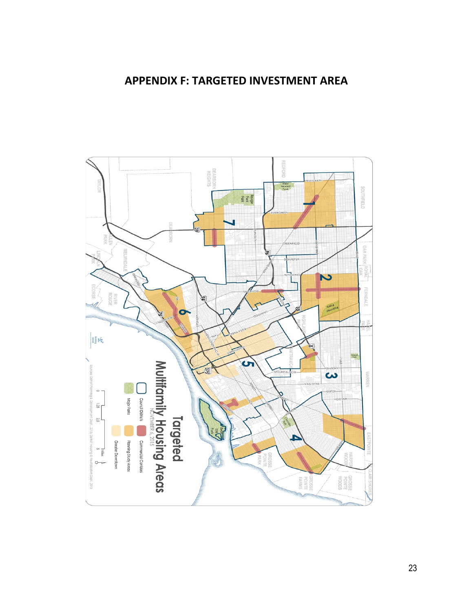### **APPENDIX F: [TARGETED INVESTMENT](https://detroitmi.gov/portals/0/docs/HousingAndRev/2016_Targeted_Multifamily_Planning_Areas_1.pdf) AREA**

<span id="page-22-0"></span>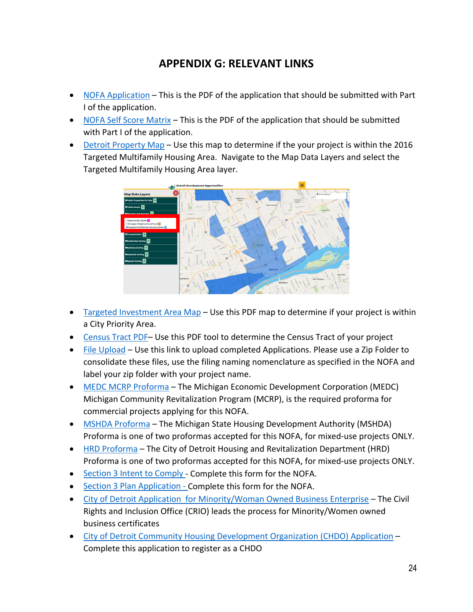## **APPENDIX G: RELEVANT LINKS**

- <span id="page-23-0"></span>• [NOFA Application](https://detroitmigov.box.com/s/39vof7fxluj55l8reunh363ucojtr4so) – This is the PDF of the application that should be submitted with Part I of the application.
- [NOFA Self Score](https://detroitmigov.box.com/s/6jvmzt8wwmejrbahum1txfo0po1b2k4h) Matrix This is the PDF of the application that should be submitted with Part I of the application.
- [Detroit Property Map](https://detroitmi.gov/webapp/detroit-development-opportunities) Use this map to determine if the your project is within the 2016 Targeted Multifamily Housing Area. Navigate to the Map Data Layers and select the Targeted Multifamily Housing Area layer.



- Targeted [Investment Area](https://detroitmi.gov/portals/0/docs/HousingAndRev/2016_Targeted_Multifamily_Planning_Areas_1.pdf) Map Use this PDF map to determine if your project is within a City Priority Area.
- [Census Tract PDF–](https://www2.census.gov/data/api-documentation/Address%20Search%20-%20Geocoder%20and%20TIGERweb/How%20to%20Find%20Geo%20Info%20from%20Address.pdf) Use this PDF tool to determine the Census Tract of your project
- [File Upload](https://detroitmigov.app.box.com/f/673093098b4f44e1af2af8d92384b09b) Use this link to upload completed Applications. Please use a Zip Folder to consolidate these files, use the filing naming nomenclature as specified in the NOFA and label your zip folder with your project name.
- [MEDC MCRP Proforma](https://www.miplace.org/redevelopment-ready-sites/pro-forma-101/) The Michigan Economic Development Corporation (MEDC) Michigan Community Revitalization Program (MCRP), is the required proforma for commercial projects applying for this NOFA.
- [MSHDA Proforma](https://www.michigan.gov/documents/mshda/mshda_li_ca_39_tab_dd_direct_lending_proforma_format_402595_7.xlsm) The Michigan State Housing Development Authority (MSHDA) Proforma is one of two proformas accepted for this NOFA, for mixed-use projects ONLY.
- [HRD Proforma](https://detroitmi.gov/sites/detroitmi.localhost/files/2020-01/2020-01-08%20HRD%20proforma%20v%201.xlsx) The City of Detroit Housing and Revitalization Department (HRD) Proforma is one of two proformas accepted for this NOFA, for mixed-use projects ONLY.
- Section 3 Intent to [Comply](https://detroitmi.gov/Portals/0/docs/HousingAndRev/2018/HUD%20Section%203%20Compliance%20and%20Intent%20to%20Comply.pdf?ver=2018-08-17-092426-937) Complete this form for the NOFA.
- Section 3 Plan [Application](https://detroitmi.gov/Portals/0/docs/humanrights/Section%203/Sec%203%20Plan%20SubContractor%20100K%20or%20More.pdf) Complete this form for the NOFA.
- [City of Detroit Application for Minority/Woman Owned Business Enterprise](https://app.smartsheet.com/b/form/a5eaaca10fae4080bdf18a449c5ccdad) The Civil Rights and Inclusion Office (CRIO) leads the process for Minority/Women owned business certificates
- [City of Detroit Community Housing Development Organization \(CHDO\) Application](https://detroitmi.gov/Portals/0/docs/Planning/PDF/CHDO%20Certifications-Applications.pdf) Complete this application to register as a CHDO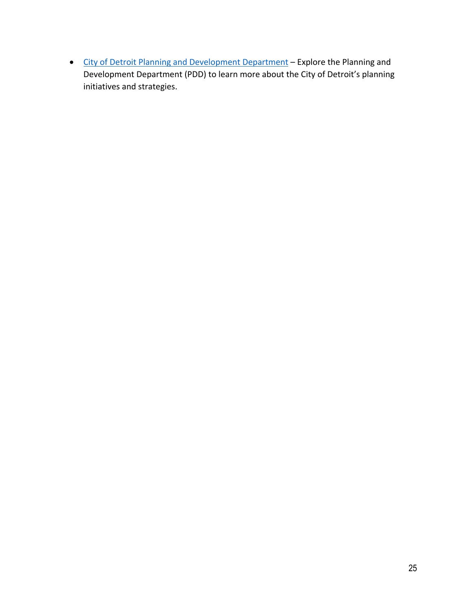• [City of Detroit Planning and Development Department](https://detroitmi.gov/departments/planning-and-development-department) – Explore the Planning and Development Department (PDD) to learn more about the City of Detroit's planning initiatives and strategies.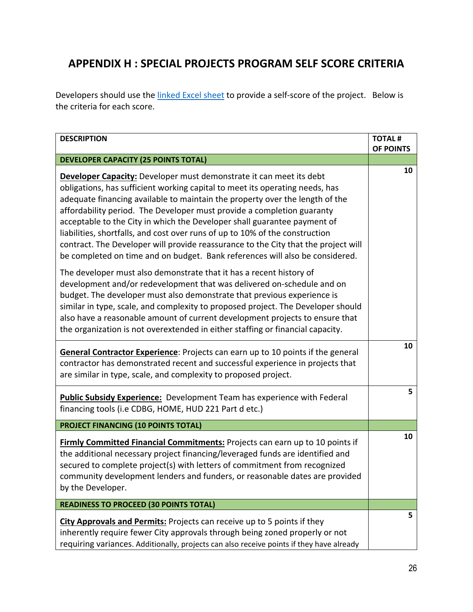## <span id="page-25-0"></span>**APPENDIX H : SPECIAL PROJECTS PROGRAM SELF SCORE CRITERIA**

Developers should use the **linked Excel sheet** to provide a self-score of the project. Below is the criteria for each score.

| <b>DESCRIPTION</b>                                                                                                                                                                                                                                                                                                                                                                                                                                                                                                                                                                                                                              | <b>TOTAL#</b> |
|-------------------------------------------------------------------------------------------------------------------------------------------------------------------------------------------------------------------------------------------------------------------------------------------------------------------------------------------------------------------------------------------------------------------------------------------------------------------------------------------------------------------------------------------------------------------------------------------------------------------------------------------------|---------------|
|                                                                                                                                                                                                                                                                                                                                                                                                                                                                                                                                                                                                                                                 | OF POINTS     |
| <b>DEVELOPER CAPACITY (25 POINTS TOTAL)</b>                                                                                                                                                                                                                                                                                                                                                                                                                                                                                                                                                                                                     |               |
| Developer Capacity: Developer must demonstrate it can meet its debt<br>obligations, has sufficient working capital to meet its operating needs, has<br>adequate financing available to maintain the property over the length of the<br>affordability period. The Developer must provide a completion guaranty<br>acceptable to the City in which the Developer shall guarantee payment of<br>liabilities, shortfalls, and cost over runs of up to 10% of the construction<br>contract. The Developer will provide reassurance to the City that the project will<br>be completed on time and on budget. Bank references will also be considered. | 10            |
| The developer must also demonstrate that it has a recent history of<br>development and/or redevelopment that was delivered on-schedule and on<br>budget. The developer must also demonstrate that previous experience is<br>similar in type, scale, and complexity to proposed project. The Developer should<br>also have a reasonable amount of current development projects to ensure that<br>the organization is not overextended in either staffing or financial capacity.                                                                                                                                                                  |               |
| General Contractor Experience: Projects can earn up to 10 points if the general<br>contractor has demonstrated recent and successful experience in projects that<br>are similar in type, scale, and complexity to proposed project.                                                                                                                                                                                                                                                                                                                                                                                                             | 10            |
| <b>Public Subsidy Experience:</b> Development Team has experience with Federal<br>financing tools (i.e CDBG, HOME, HUD 221 Part d etc.)                                                                                                                                                                                                                                                                                                                                                                                                                                                                                                         | 5             |
| PROJECT FINANCING (10 POINTS TOTAL)                                                                                                                                                                                                                                                                                                                                                                                                                                                                                                                                                                                                             |               |
| Firmly Committed Financial Commitments: Projects can earn up to 10 points if<br>the additional necessary project financing/leveraged funds are identified and<br>secured to complete project(s) with letters of commitment from recognized<br>community development lenders and funders, or reasonable dates are provided<br>by the Developer.                                                                                                                                                                                                                                                                                                  | 10            |
| <b>READINESS TO PROCEED (30 POINTS TOTAL)</b>                                                                                                                                                                                                                                                                                                                                                                                                                                                                                                                                                                                                   |               |
| City Approvals and Permits: Projects can receive up to 5 points if they<br>inherently require fewer City approvals through being zoned properly or not<br>requiring variances. Additionally, projects can also receive points if they have already                                                                                                                                                                                                                                                                                                                                                                                              | 5             |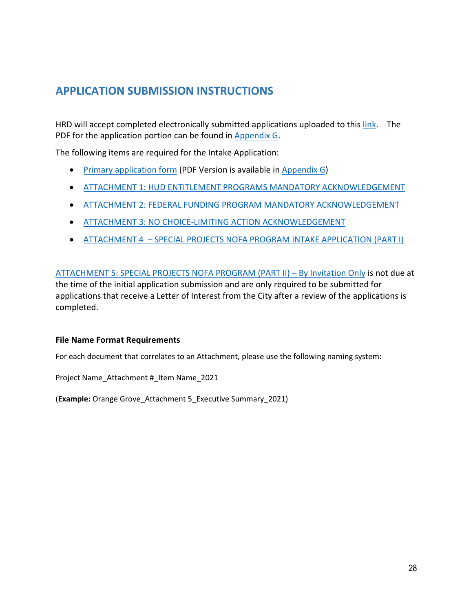## <span id="page-27-0"></span>**APPLICATION SUBMISSION INSTRUCTIONS**

HRD will accept completed electronically submitted applications uploaded to this [link.](https://detroitmigov.app.box.com/f/673093098b4f44e1af2af8d92384b09b) The PDF for the application portion can be found in [Appendix G.](#page-23-0)

The following items are required for the Intake Application:

- [Primary application form](#page-28-0) (PDF Version is available in [Appendix G\)](#page-23-0)
- [ATTACHMENT 1: HUD ENTITLEMENT PROGRAMS MANDATORY ACKNOWLEDGEMENT](#page-31-0)
- ATTACHMENT 2: FEDERAL FUNDING [PROGRAM MANDATORY ACKNOWLEDGEMENT](#page-32-0)
- [ATTACHMENT 3: NO CHOICE-LIMITING ACTION ACKNOWLEDGEMENT](#page-34-0)
- ATTACHMENT 4 [SPECIAL PROJECTS NOFA PROGRAM INTAKE APPLICATION \(PART I\)](#page-35-0)

ATTACHMENT 5: [SPECIAL PROJECTS NOFA PROGRAM \(PART II\) –](#page-39-0) By Invitation Only is not due at the time of the initial application submission and are only required to be submitted for applications that receive a Letter of Interest from the City after a review of the applications is completed.

#### **File Name Format Requirements**

For each document that correlates to an Attachment, please use the following naming system:

Project Name\_Attachment #\_Item Name\_2021

(**Example:** Orange Grove\_Attachment 5\_Executive Summary\_2021)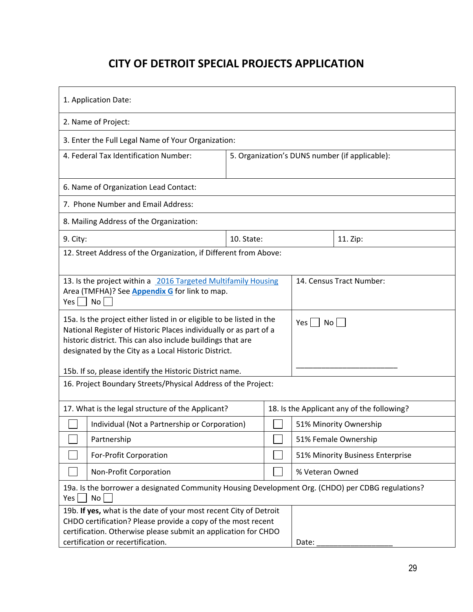## **CITY OF DETROIT SPECIAL PROJECTS APPLICATION**

<span id="page-28-0"></span>

| 1. Application Date:                                                                                                                                                                                                                                             |                                                |  |                                            |                                  |
|------------------------------------------------------------------------------------------------------------------------------------------------------------------------------------------------------------------------------------------------------------------|------------------------------------------------|--|--------------------------------------------|----------------------------------|
| 2. Name of Project:                                                                                                                                                                                                                                              |                                                |  |                                            |                                  |
| 3. Enter the Full Legal Name of Your Organization:                                                                                                                                                                                                               |                                                |  |                                            |                                  |
| 4. Federal Tax Identification Number:                                                                                                                                                                                                                            | 5. Organization's DUNS number (if applicable): |  |                                            |                                  |
| 6. Name of Organization Lead Contact:                                                                                                                                                                                                                            |                                                |  |                                            |                                  |
| 7. Phone Number and Email Address:                                                                                                                                                                                                                               |                                                |  |                                            |                                  |
| 8. Mailing Address of the Organization:                                                                                                                                                                                                                          |                                                |  |                                            |                                  |
| 9. City:                                                                                                                                                                                                                                                         | 10. State:                                     |  |                                            | 11. Zip:                         |
| 12. Street Address of the Organization, if Different from Above:                                                                                                                                                                                                 |                                                |  |                                            |                                  |
| 13. Is the project within a 2016 Targeted Multifamily Housing<br>14. Census Tract Number:<br>Area (TMFHA)? See <b>Appendix G</b> for link to map.<br>No <sub>1</sub><br>Yes                                                                                      |                                                |  |                                            |                                  |
| 15a. Is the project either listed in or eligible to be listed in the<br>National Register of Historic Places individually or as part of a<br>historic district. This can also include buildings that are<br>designated by the City as a Local Historic District. |                                                |  | Yes                                        | No                               |
| 15b. If so, please identify the Historic District name.                                                                                                                                                                                                          |                                                |  |                                            |                                  |
| 16. Project Boundary Streets/Physical Address of the Project:                                                                                                                                                                                                    |                                                |  |                                            |                                  |
| 17. What is the legal structure of the Applicant?                                                                                                                                                                                                                |                                                |  | 18. Is the Applicant any of the following? |                                  |
|                                                                                                                                                                                                                                                                  | Individual (Not a Partnership or Corporation)  |  |                                            | 51% Minority Ownership           |
| Partnership                                                                                                                                                                                                                                                      |                                                |  |                                            | 51% Female Ownership             |
| For-Profit Corporation                                                                                                                                                                                                                                           |                                                |  |                                            | 51% Minority Business Enterprise |
| Non-Profit Corporation                                                                                                                                                                                                                                           |                                                |  | % Veteran Owned                            |                                  |
| 19a. Is the borrower a designated Community Housing Development Org. (CHDO) per CDBG regulations?<br>No<br>Yes                                                                                                                                                   |                                                |  |                                            |                                  |
| 19b. If yes, what is the date of your most recent City of Detroit<br>CHDO certification? Please provide a copy of the most recent<br>certification. Otherwise please submit an application for CHDO<br>certification or recertification.<br>Date:                |                                                |  |                                            |                                  |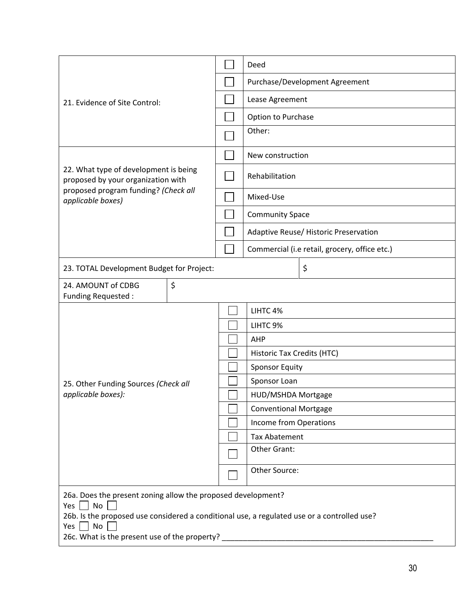| 21. Evidence of Site Control:                                                                                                                                                                                                                                                   |  | Deed                         |                                               |  |  |
|---------------------------------------------------------------------------------------------------------------------------------------------------------------------------------------------------------------------------------------------------------------------------------|--|------------------------------|-----------------------------------------------|--|--|
|                                                                                                                                                                                                                                                                                 |  |                              | Purchase/Development Agreement                |  |  |
|                                                                                                                                                                                                                                                                                 |  |                              | Lease Agreement                               |  |  |
|                                                                                                                                                                                                                                                                                 |  |                              | Option to Purchase                            |  |  |
|                                                                                                                                                                                                                                                                                 |  | Other:                       |                                               |  |  |
|                                                                                                                                                                                                                                                                                 |  |                              | New construction                              |  |  |
| 22. What type of development is being<br>proposed by your organization with                                                                                                                                                                                                     |  | Rehabilitation               |                                               |  |  |
| proposed program funding? (Check all<br>applicable boxes)                                                                                                                                                                                                                       |  | Mixed-Use                    |                                               |  |  |
|                                                                                                                                                                                                                                                                                 |  | <b>Community Space</b>       |                                               |  |  |
|                                                                                                                                                                                                                                                                                 |  |                              | Adaptive Reuse/ Historic Preservation         |  |  |
|                                                                                                                                                                                                                                                                                 |  |                              | Commercial (i.e retail, grocery, office etc.) |  |  |
| 23. TOTAL Development Budget for Project:                                                                                                                                                                                                                                       |  |                              | \$                                            |  |  |
| \$<br>24. AMOUNT of CDBG<br>Funding Requested:                                                                                                                                                                                                                                  |  |                              |                                               |  |  |
|                                                                                                                                                                                                                                                                                 |  | LIHTC 4%                     |                                               |  |  |
|                                                                                                                                                                                                                                                                                 |  | LIHTC 9%                     |                                               |  |  |
|                                                                                                                                                                                                                                                                                 |  | AHP                          |                                               |  |  |
|                                                                                                                                                                                                                                                                                 |  |                              | Historic Tax Credits (HTC)                    |  |  |
|                                                                                                                                                                                                                                                                                 |  | <b>Sponsor Equity</b>        |                                               |  |  |
| 25. Other Funding Sources (Check all                                                                                                                                                                                                                                            |  | Sponsor Loan                 |                                               |  |  |
| applicable boxes):                                                                                                                                                                                                                                                              |  |                              | HUD/MSHDA Mortgage                            |  |  |
|                                                                                                                                                                                                                                                                                 |  | <b>Conventional Mortgage</b> |                                               |  |  |
|                                                                                                                                                                                                                                                                                 |  | Income from Operations       |                                               |  |  |
|                                                                                                                                                                                                                                                                                 |  | <b>Tax Abatement</b>         |                                               |  |  |
|                                                                                                                                                                                                                                                                                 |  | Other Grant:                 |                                               |  |  |
|                                                                                                                                                                                                                                                                                 |  |                              | Other Source:                                 |  |  |
| 26a. Does the present zoning allow the proposed development?<br>No<br>Yes  <br>26b. Is the proposed use considered a conditional use, a regulated use or a controlled use?<br>Yes $\Box$ No<br>26c. What is the present use of the property? __________________________________ |  |                              |                                               |  |  |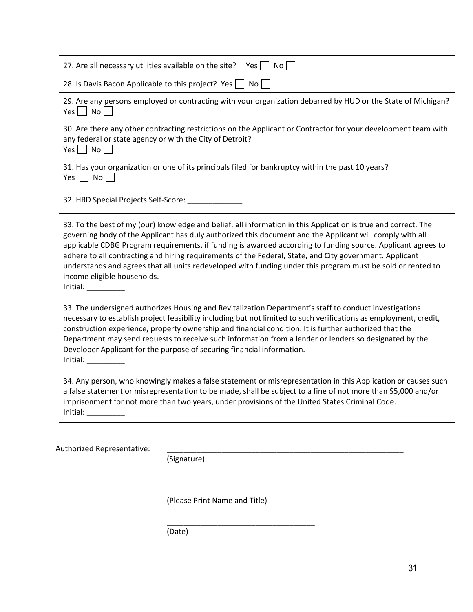| 27. Are all necessary utilities available on the site?                                                                                                                                                                                                        | No<br>Yes                                                                                                                                                                                                                                                                                                                                                                                                                                                                                                                                                            |
|---------------------------------------------------------------------------------------------------------------------------------------------------------------------------------------------------------------------------------------------------------------|----------------------------------------------------------------------------------------------------------------------------------------------------------------------------------------------------------------------------------------------------------------------------------------------------------------------------------------------------------------------------------------------------------------------------------------------------------------------------------------------------------------------------------------------------------------------|
| 28. Is Davis Bacon Applicable to this project? Yes [                                                                                                                                                                                                          | No                                                                                                                                                                                                                                                                                                                                                                                                                                                                                                                                                                   |
| $Yes \mid No \mid$                                                                                                                                                                                                                                            | 29. Are any persons employed or contracting with your organization debarred by HUD or the State of Michigan?                                                                                                                                                                                                                                                                                                                                                                                                                                                         |
| any federal or state agency or with the City of Detroit?<br>$Yes \nightharpoonup No \nightharpoonup$                                                                                                                                                          | 30. Are there any other contracting restrictions on the Applicant or Contractor for your development team with                                                                                                                                                                                                                                                                                                                                                                                                                                                       |
| No<br>Yes                                                                                                                                                                                                                                                     | 31. Has your organization or one of its principals filed for bankruptcy within the past 10 years?                                                                                                                                                                                                                                                                                                                                                                                                                                                                    |
| 32. HRD Special Projects Self-Score: ___________                                                                                                                                                                                                              |                                                                                                                                                                                                                                                                                                                                                                                                                                                                                                                                                                      |
| income eligible households.<br>Initial: and the state of the state of the state of the state of the state of the state of the state of the state of the state of the state of the state of the state of the state of the state of the state of the state of t | 33. To the best of my (our) knowledge and belief, all information in this Application is true and correct. The<br>governing body of the Applicant has duly authorized this document and the Applicant will comply with all<br>applicable CDBG Program requirements, if funding is awarded according to funding source. Applicant agrees to<br>adhere to all contracting and hiring requirements of the Federal, State, and City government. Applicant<br>understands and agrees that all units redeveloped with funding under this program must be sold or rented to |
| Developer Applicant for the purpose of securing financial information.<br>Initial:                                                                                                                                                                            | 33. The undersigned authorizes Housing and Revitalization Department's staff to conduct investigations<br>necessary to establish project feasibility including but not limited to such verifications as employment, credit,<br>construction experience, property ownership and financial condition. It is further authorized that the<br>Department may send requests to receive such information from a lender or lenders so designated by the                                                                                                                      |
| Initial:                                                                                                                                                                                                                                                      | 34. Any person, who knowingly makes a false statement or misrepresentation in this Application or causes such<br>a false statement or misrepresentation to be made, shall be subject to a fine of not more than \$5,000 and/or<br>imprisonment for not more than two years, under provisions of the United States Criminal Code.                                                                                                                                                                                                                                     |

(Signature)

(Please Print Name and Title)

\_\_\_\_\_\_\_\_\_\_\_\_\_\_\_\_\_\_\_\_\_\_\_\_\_\_\_\_\_\_\_\_\_\_\_

\_\_\_\_\_\_\_\_\_\_\_\_\_\_\_\_\_\_\_\_\_\_\_\_\_\_\_\_\_\_\_\_\_\_\_\_\_\_\_\_\_\_\_\_\_\_\_\_\_\_\_\_\_\_\_\_

(Date)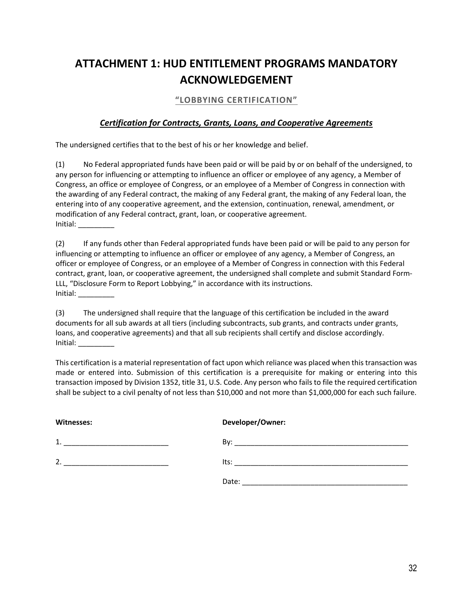## <span id="page-31-0"></span>**ATTACHMENT 1: HUD ENTITLEMENT PROGRAMS MANDATORY ACKNOWLEDGEMENT**

#### **"LOBBYING CERTIFICATION"**

#### *Certification for Contracts, Grants, Loans, and Cooperative Agreements*

The undersigned certifies that to the best of his or her knowledge and belief.

(1) No Federal appropriated funds have been paid or will be paid by or on behalf of the undersigned, to any person for influencing or attempting to influence an officer or employee of any agency, a Member of Congress, an office or employee of Congress, or an employee of a Member of Congress in connection with the awarding of any Federal contract, the making of any Federal grant, the making of any Federal loan, the entering into of any cooperative agreement, and the extension, continuation, renewal, amendment, or modification of any Federal contract, grant, loan, or cooperative agreement. Initial: \_\_\_\_\_\_\_\_\_

(2) If any funds other than Federal appropriated funds have been paid or will be paid to any person for influencing or attempting to influence an officer or employee of any agency, a Member of Congress, an officer or employee of Congress, or an employee of a Member of Congress in connection with this Federal contract, grant, loan, or cooperative agreement, the undersigned shall complete and submit Standard Form-LLL, "Disclosure Form to Report Lobbying," in accordance with its instructions. Initial:  $\_\_$ 

(3) The undersigned shall require that the language of this certification be included in the award documents for all sub awards at all tiers (including subcontracts, sub grants, and contracts under grants, loans, and cooperative agreements) and that all sub recipients shall certify and disclose accordingly. Initial: \_\_\_\_\_\_\_\_\_

This certification is a material representation of fact upon which reliance was placed when this transaction was made or entered into. Submission of this certification is a prerequisite for making or entering into this transaction imposed by Division 1352, title 31, U.S. Code. Any person who fails to file the required certification shall be subject to a civil penalty of not less than \$10,000 and not more than \$1,000,000 for each such failure.

| Witnesses: | Developer/Owner:                                                                                                      |
|------------|-----------------------------------------------------------------------------------------------------------------------|
| 1          | Bv:                                                                                                                   |
|            | <u> 1980 - Johann John Stoff, deutscher Stoffen und der Stoffen und der Stoffen und der Stoffen und der Stoffen u</u> |
| 2.         | lts:                                                                                                                  |
|            |                                                                                                                       |
|            | Date:                                                                                                                 |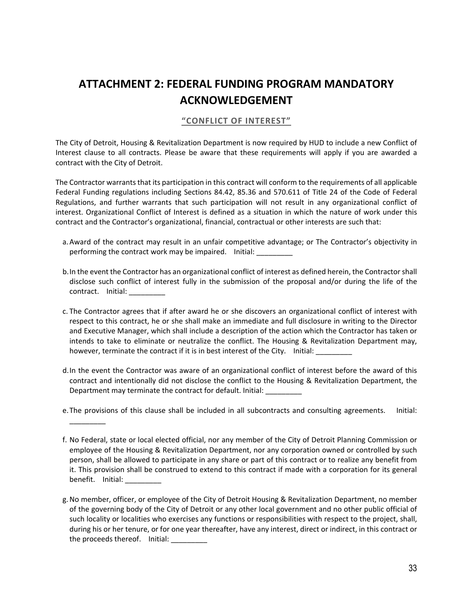## <span id="page-32-0"></span>**ATTACHMENT 2: FEDERAL FUNDING PROGRAM MANDATORY ACKNOWLEDGEMENT**

#### **"CONFLICT OF INTEREST"**

The City of Detroit, Housing & Revitalization Department is now required by HUD to include a new Conflict of Interest clause to all contracts. Please be aware that these requirements will apply if you are awarded a contract with the City of Detroit.

The Contractor warrants that its participation in this contract will conform to the requirements of all applicable Federal Funding regulations including Sections 84.42, 85.36 and 570.611 of Title 24 of the Code of Federal Regulations, and further warrants that such participation will not result in any organizational conflict of interest. Organizational Conflict of Interest is defined as a situation in which the nature of work under this contract and the Contractor's organizational, financial, contractual or other interests are such that:

- a.Award of the contract may result in an unfair competitive advantage; or The Contractor's objectivity in performing the contract work may be impaired. Initial:
- b.In the event the Contractor has an organizational conflict of interest as defined herein, the Contractor shall disclose such conflict of interest fully in the submission of the proposal and/or during the life of the contract. Initial: \_\_\_\_\_\_\_\_\_
- c. The Contractor agrees that if after award he or she discovers an organizational conflict of interest with respect to this contract, he or she shall make an immediate and full disclosure in writing to the Director and Executive Manager, which shall include a description of the action which the Contractor has taken or intends to take to eliminate or neutralize the conflict. The Housing & Revitalization Department may, however, terminate the contract if it is in best interest of the City. Initial:
- d.In the event the Contractor was aware of an organizational conflict of interest before the award of this contract and intentionally did not disclose the conflict to the Housing & Revitalization Department, the Department may terminate the contract for default. Initial: \_\_\_\_\_\_\_\_\_
- e.The provisions of this clause shall be included in all subcontracts and consulting agreements. Initial:

 $\overline{\phantom{a}}$  . The contract of the contract of the contract of the contract of the contract of the contract of the contract of the contract of the contract of the contract of the contract of the contract of the contract of

f. No Federal, state or local elected official, nor any member of the City of Detroit Planning Commission or employee of the Housing & Revitalization Department, nor any corporation owned or controlled by such person, shall be allowed to participate in any share or part of this contract or to realize any benefit from it. This provision shall be construed to extend to this contract if made with a corporation for its general benefit. Initial:

g.No member, officer, or employee of the City of Detroit Housing & Revitalization Department, no member of the governing body of the City of Detroit or any other local government and no other public official of such locality or localities who exercises any functions or responsibilities with respect to the project, shall, during his or her tenure, or for one year thereafter, have any interest, direct or indirect, in this contract or the proceeds thereof. Initial: \_\_\_\_\_\_\_\_\_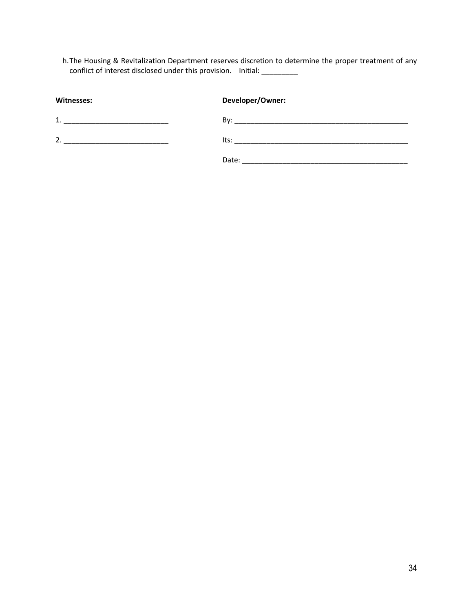h.The Housing & Revitalization Department reserves discretion to determine the proper treatment of any conflict of interest disclosed under this provision. Initial: \_\_\_\_\_\_\_\_\_\_\_

| <b>Witnesses:</b> | Developer/Owner: |
|-------------------|------------------|
| 1                 | Bv:              |
| 2.                | lts:             |
|                   | Date:            |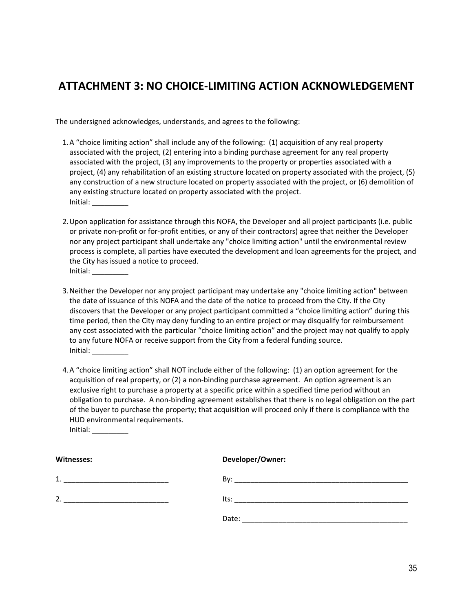## <span id="page-34-0"></span>**ATTACHMENT 3: NO CHOICE-LIMITING ACTION ACKNOWLEDGEMENT**

The undersigned acknowledges, understands, and agrees to the following:

- 1.A "choice limiting action" shall include any of the following: (1) acquisition of any real property associated with the project, (2) entering into a binding purchase agreement for any real property associated with the project, (3) any improvements to the property or properties associated with a project, (4) any rehabilitation of an existing structure located on property associated with the project, (5) any construction of a new structure located on property associated with the project, or (6) demolition of any existing structure located on property associated with the project. Initial: \_\_\_\_\_\_\_\_\_
- 2.Upon application for assistance through this NOFA, the Developer and all project participants (i.e. public or private non-profit or for-profit entities, or any of their contractors) agree that neither the Developer nor any project participant shall undertake any "choice limiting action" until the environmental review process is complete, all parties have executed the development and loan agreements for the project, and the City has issued a notice to proceed. Initial: \_\_\_\_\_\_\_\_\_
- 3.Neither the Developer nor any project participant may undertake any "choice limiting action" between the date of issuance of this NOFA and the date of the notice to proceed from the City. If the City discovers that the Developer or any project participant committed a "choice limiting action" during this time period, then the City may deny funding to an entire project or may disqualify for reimbursement any cost associated with the particular "choice limiting action" and the project may not qualify to apply to any future NOFA or receive support from the City from a federal funding source. Initial: \_\_\_\_\_\_\_\_\_
- 4.A "choice limiting action" shall NOT include either of the following: (1) an option agreement for the acquisition of real property, or (2) a non-binding purchase agreement. An option agreement is an exclusive right to purchase a property at a specific price within a specified time period without an obligation to purchase. A non-binding agreement establishes that there is no legal obligation on the part of the buyer to purchase the property; that acquisition will proceed only if there is compliance with the HUD environmental requirements.  $Initial:$

**Witnesses: Developer/Owner:** 1. \_\_\_\_\_\_\_\_\_\_\_\_\_\_\_\_\_\_\_\_\_\_\_\_\_\_ By: \_\_\_\_\_\_\_\_\_\_\_\_\_\_\_\_\_\_\_\_\_\_\_\_\_\_\_\_\_\_\_\_\_\_\_\_\_\_\_\_\_\_\_ 2. \_\_\_\_\_\_\_\_\_\_\_\_\_\_\_\_\_\_\_\_\_\_\_\_\_\_ Its: \_\_\_\_\_\_\_\_\_\_\_\_\_\_\_\_\_\_\_\_\_\_\_\_\_\_\_\_\_\_\_\_\_\_\_\_\_\_\_\_\_\_\_ Date: \_\_\_\_\_\_\_\_\_\_\_\_\_\_\_\_\_\_\_\_\_\_\_\_\_\_\_\_\_\_\_\_\_\_\_\_\_\_\_\_\_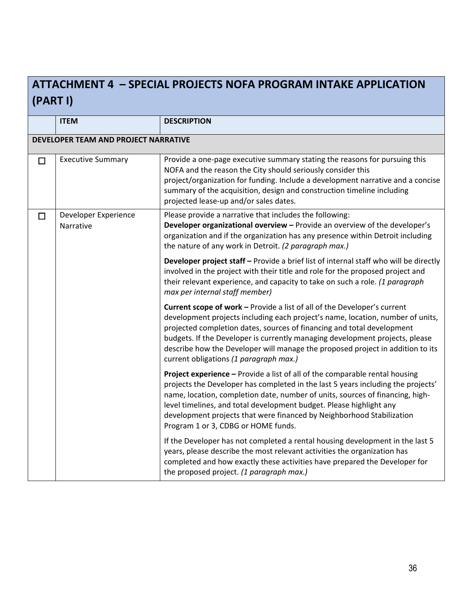# <span id="page-35-0"></span>**ATTACHMENT 4 – SPECIAL PROJECTS NOFA PROGRAM INTAKE APPLICATION (PART I)**

|        | <b>ITEM</b>                          | <b>DESCRIPTION</b>                                                                                                                                                                                                                                                                                                                                                                                                                               |  |  |  |
|--------|--------------------------------------|--------------------------------------------------------------------------------------------------------------------------------------------------------------------------------------------------------------------------------------------------------------------------------------------------------------------------------------------------------------------------------------------------------------------------------------------------|--|--|--|
|        | DEVELOPER TEAM AND PROJECT NARRATIVE |                                                                                                                                                                                                                                                                                                                                                                                                                                                  |  |  |  |
| $\Box$ | <b>Executive Summary</b>             | Provide a one-page executive summary stating the reasons for pursuing this<br>NOFA and the reason the City should seriously consider this<br>project/organization for funding. Include a development narrative and a concise<br>summary of the acquisition, design and construction timeline including<br>projected lease-up and/or sales dates.                                                                                                 |  |  |  |
| $\Box$ | Developer Experience<br>Narrative    | Please provide a narrative that includes the following:<br>Developer organizational overview - Provide an overview of the developer's<br>organization and if the organization has any presence within Detroit including<br>the nature of any work in Detroit. (2 paragraph max.)                                                                                                                                                                 |  |  |  |
|        |                                      | Developer project staff - Provide a brief list of internal staff who will be directly<br>involved in the project with their title and role for the proposed project and<br>their relevant experience, and capacity to take on such a role. (1 paragraph<br>max per internal staff member)                                                                                                                                                        |  |  |  |
|        |                                      | Current scope of work - Provide a list of all of the Developer's current<br>development projects including each project's name, location, number of units,<br>projected completion dates, sources of financing and total development<br>budgets. If the Developer is currently managing development projects, please<br>describe how the Developer will manage the proposed project in addition to its<br>current obligations (1 paragraph max.) |  |  |  |
|        |                                      | Project experience - Provide a list of all of the comparable rental housing<br>projects the Developer has completed in the last 5 years including the projects'<br>name, location, completion date, number of units, sources of financing, high-<br>level timelines, and total development budget. Please highlight any<br>development projects that were financed by Neighborhood Stabilization<br>Program 1 or 3, CDBG or HOME funds.          |  |  |  |
|        |                                      | If the Developer has not completed a rental housing development in the last 5<br>years, please describe the most relevant activities the organization has<br>completed and how exactly these activities have prepared the Developer for<br>the proposed project. (1 paragraph max.)                                                                                                                                                              |  |  |  |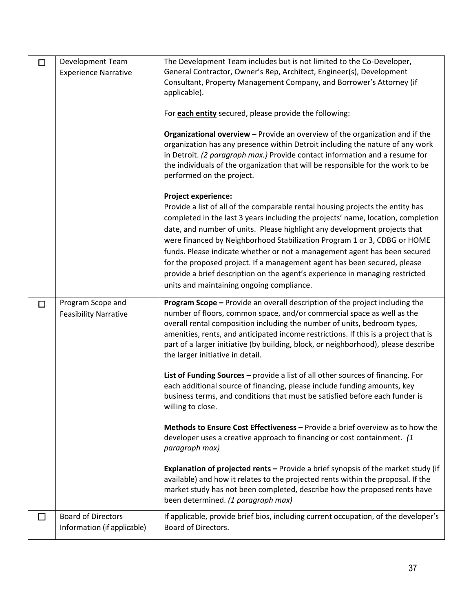| $\Box$ | Development Team<br><b>Experience Narrative</b>   | The Development Team includes but is not limited to the Co-Developer,<br>General Contractor, Owner's Rep, Architect, Engineer(s), Development<br>Consultant, Property Management Company, and Borrower's Attorney (if<br>applicable).<br>For each entity secured, please provide the following:<br>Organizational overview - Provide an overview of the organization and if the                                                                                                                                                                                                                                                                 |
|--------|---------------------------------------------------|-------------------------------------------------------------------------------------------------------------------------------------------------------------------------------------------------------------------------------------------------------------------------------------------------------------------------------------------------------------------------------------------------------------------------------------------------------------------------------------------------------------------------------------------------------------------------------------------------------------------------------------------------|
|        |                                                   | organization has any presence within Detroit including the nature of any work<br>in Detroit. (2 paragraph max.) Provide contact information and a resume for<br>the individuals of the organization that will be responsible for the work to be<br>performed on the project.                                                                                                                                                                                                                                                                                                                                                                    |
|        |                                                   | <b>Project experience:</b><br>Provide a list of all of the comparable rental housing projects the entity has<br>completed in the last 3 years including the projects' name, location, completion<br>date, and number of units. Please highlight any development projects that<br>were financed by Neighborhood Stabilization Program 1 or 3, CDBG or HOME<br>funds. Please indicate whether or not a management agent has been secured<br>for the proposed project. If a management agent has been secured, please<br>provide a brief description on the agent's experience in managing restricted<br>units and maintaining ongoing compliance. |
| □      | Program Scope and<br><b>Feasibility Narrative</b> | Program Scope - Provide an overall description of the project including the<br>number of floors, common space, and/or commercial space as well as the<br>overall rental composition including the number of units, bedroom types,<br>amenities, rents, and anticipated income restrictions. If this is a project that is<br>part of a larger initiative (by building, block, or neighborhood), please describe<br>the larger initiative in detail.                                                                                                                                                                                              |
|        |                                                   |                                                                                                                                                                                                                                                                                                                                                                                                                                                                                                                                                                                                                                                 |
|        |                                                   | List of Funding Sources - provide a list of all other sources of financing. For<br>each additional source of financing, please include funding amounts, key<br>business terms, and conditions that must be satisfied before each funder is<br>willing to close.                                                                                                                                                                                                                                                                                                                                                                                 |
|        |                                                   | Methods to Ensure Cost Effectiveness - Provide a brief overview as to how the<br>developer uses a creative approach to financing or cost containment. (1<br>paragraph max)                                                                                                                                                                                                                                                                                                                                                                                                                                                                      |
|        |                                                   | Explanation of projected rents - Provide a brief synopsis of the market study (if<br>available) and how it relates to the projected rents within the proposal. If the<br>market study has not been completed, describe how the proposed rents have<br>been determined. (1 paragraph max)                                                                                                                                                                                                                                                                                                                                                        |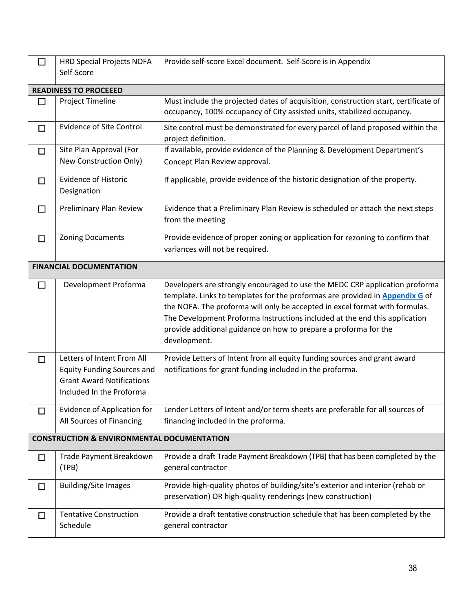| $\Box$ | <b>HRD Special Projects NOFA</b>                                                                                                | Provide self-score Excel document. Self-Score is in Appendix                                                                                                                                                                                                                                                                                                                                                 |
|--------|---------------------------------------------------------------------------------------------------------------------------------|--------------------------------------------------------------------------------------------------------------------------------------------------------------------------------------------------------------------------------------------------------------------------------------------------------------------------------------------------------------------------------------------------------------|
|        | Self-Score                                                                                                                      |                                                                                                                                                                                                                                                                                                                                                                                                              |
|        | <b>READINESS TO PROCEEED</b>                                                                                                    |                                                                                                                                                                                                                                                                                                                                                                                                              |
| $\Box$ | <b>Project Timeline</b>                                                                                                         | Must include the projected dates of acquisition, construction start, certificate of<br>occupancy, 100% occupancy of City assisted units, stabilized occupancy.                                                                                                                                                                                                                                               |
| $\Box$ | <b>Evidence of Site Control</b>                                                                                                 | Site control must be demonstrated for every parcel of land proposed within the<br>project definition.                                                                                                                                                                                                                                                                                                        |
| $\Box$ | Site Plan Approval (For<br>New Construction Only)                                                                               | If available, provide evidence of the Planning & Development Department's<br>Concept Plan Review approval.                                                                                                                                                                                                                                                                                                   |
| □      | <b>Evidence of Historic</b><br>Designation                                                                                      | If applicable, provide evidence of the historic designation of the property.                                                                                                                                                                                                                                                                                                                                 |
| $\Box$ | <b>Preliminary Plan Review</b>                                                                                                  | Evidence that a Preliminary Plan Review is scheduled or attach the next steps<br>from the meeting                                                                                                                                                                                                                                                                                                            |
| $\Box$ | <b>Zoning Documents</b>                                                                                                         | Provide evidence of proper zoning or application for rezoning to confirm that<br>variances will not be required.                                                                                                                                                                                                                                                                                             |
|        | <b>FINANCIAL DOCUMENTATION</b>                                                                                                  |                                                                                                                                                                                                                                                                                                                                                                                                              |
| $\Box$ | Development Proforma                                                                                                            | Developers are strongly encouraged to use the MEDC CRP application proforma<br>template. Links to templates for the proformas are provided in Appendix G of<br>the NOFA. The proforma will only be accepted in excel format with formulas.<br>The Development Proforma Instructions included at the end this application<br>provide additional guidance on how to prepare a proforma for the<br>development. |
| $\Box$ | Letters of Intent From All<br><b>Equity Funding Sources and</b><br><b>Grant Award Notifications</b><br>Included In the Proforma | Provide Letters of Intent from all equity funding sources and grant award<br>notifications for grant funding included in the proforma.                                                                                                                                                                                                                                                                       |
| $\Box$ | <b>Evidence of Application for</b><br>All Sources of Financing                                                                  | Lender Letters of Intent and/or term sheets are preferable for all sources of<br>financing included in the proforma.                                                                                                                                                                                                                                                                                         |
|        | <b>CONSTRUCTION &amp; ENVIRONMENTAL DOCUMENTATION</b>                                                                           |                                                                                                                                                                                                                                                                                                                                                                                                              |
| $\Box$ | Trade Payment Breakdown<br>(TPB)                                                                                                | Provide a draft Trade Payment Breakdown (TPB) that has been completed by the<br>general contractor                                                                                                                                                                                                                                                                                                           |
| □      | <b>Building/Site Images</b>                                                                                                     | Provide high-quality photos of building/site's exterior and interior (rehab or<br>preservation) OR high-quality renderings (new construction)                                                                                                                                                                                                                                                                |
| □      | <b>Tentative Construction</b><br>Schedule                                                                                       | Provide a draft tentative construction schedule that has been completed by the<br>general contractor                                                                                                                                                                                                                                                                                                         |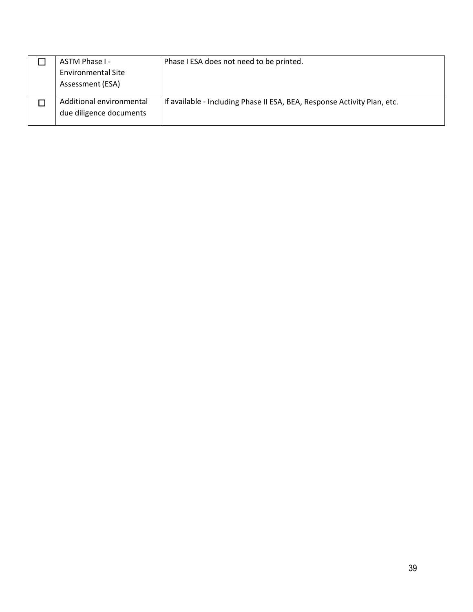| ASTM Phase I -<br><b>Environmental Site</b><br>Assessment (ESA) | Phase I ESA does not need to be printed.                                 |
|-----------------------------------------------------------------|--------------------------------------------------------------------------|
| Additional environmental<br>due diligence documents             | If available - Including Phase II ESA, BEA, Response Activity Plan, etc. |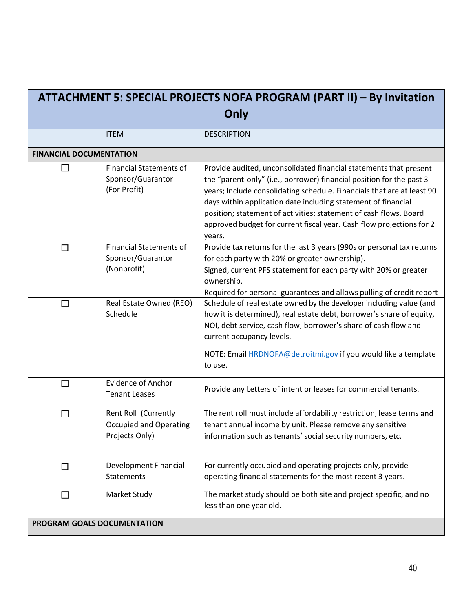<span id="page-39-0"></span>

| ATTACHMENT 5: SPECIAL PROJECTS NOFA PROGRAM (PART II) - By Invitation |                                                                         |                                                                                                                                                                                                                                                                                                                                                                                                                                             |  |  |  |
|-----------------------------------------------------------------------|-------------------------------------------------------------------------|---------------------------------------------------------------------------------------------------------------------------------------------------------------------------------------------------------------------------------------------------------------------------------------------------------------------------------------------------------------------------------------------------------------------------------------------|--|--|--|
| Only                                                                  |                                                                         |                                                                                                                                                                                                                                                                                                                                                                                                                                             |  |  |  |
|                                                                       | <b>ITEM</b>                                                             | <b>DESCRIPTION</b>                                                                                                                                                                                                                                                                                                                                                                                                                          |  |  |  |
| <b>FINANCIAL DOCUMENTATION</b>                                        |                                                                         |                                                                                                                                                                                                                                                                                                                                                                                                                                             |  |  |  |
|                                                                       | <b>Financial Statements of</b><br>Sponsor/Guarantor<br>(For Profit)     | Provide audited, unconsolidated financial statements that present<br>the "parent-only" (i.e., borrower) financial position for the past 3<br>years; Include consolidating schedule. Financials that are at least 90<br>days within application date including statement of financial<br>position; statement of activities; statement of cash flows. Board<br>approved budget for current fiscal year. Cash flow projections for 2<br>years. |  |  |  |
| $\Box$                                                                | <b>Financial Statements of</b><br>Sponsor/Guarantor<br>(Nonprofit)      | Provide tax returns for the last 3 years (990s or personal tax returns<br>for each party with 20% or greater ownership).<br>Signed, current PFS statement for each party with 20% or greater<br>ownership.<br>Required for personal guarantees and allows pulling of credit report                                                                                                                                                          |  |  |  |
| $\Box$                                                                | Real Estate Owned (REO)<br>Schedule                                     | Schedule of real estate owned by the developer including value (and<br>how it is determined), real estate debt, borrower's share of equity,<br>NOI, debt service, cash flow, borrower's share of cash flow and<br>current occupancy levels.<br>NOTE: Email HRDNOFA@detroitmi.gov if you would like a template<br>to use.                                                                                                                    |  |  |  |
| l I                                                                   | <b>Evidence of Anchor</b><br><b>Tenant Leases</b>                       | Provide any Letters of intent or leases for commercial tenants.                                                                                                                                                                                                                                                                                                                                                                             |  |  |  |
|                                                                       | Rent Roll (Currently<br><b>Occupied and Operating</b><br>Projects Only) | The rent roll must include affordability restriction, lease terms and<br>tenant annual income by unit. Please remove any sensitive<br>information such as tenants' social security numbers, etc.                                                                                                                                                                                                                                            |  |  |  |
| $\Box$                                                                | Development Financial<br>Statements                                     | For currently occupied and operating projects only, provide<br>operating financial statements for the most recent 3 years.                                                                                                                                                                                                                                                                                                                  |  |  |  |
| $\Box$                                                                | Market Study                                                            | The market study should be both site and project specific, and no<br>less than one year old.                                                                                                                                                                                                                                                                                                                                                |  |  |  |
| PROGRAM GOALS DOCUMENTATION                                           |                                                                         |                                                                                                                                                                                                                                                                                                                                                                                                                                             |  |  |  |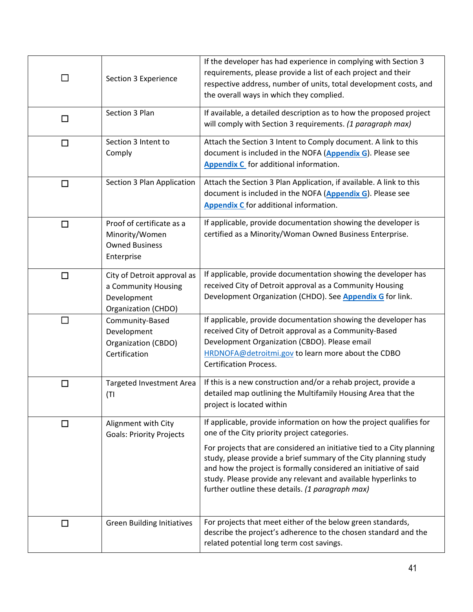| $\mathcal{L}_{\mathcal{A}}$ | Section 3 Experience                                                                     | If the developer has had experience in complying with Section 3<br>requirements, please provide a list of each project and their<br>respective address, number of units, total development costs, and<br>the overall ways in which they complied.                                                                                                                                                                                                           |
|-----------------------------|------------------------------------------------------------------------------------------|-------------------------------------------------------------------------------------------------------------------------------------------------------------------------------------------------------------------------------------------------------------------------------------------------------------------------------------------------------------------------------------------------------------------------------------------------------------|
| $\Box$                      | Section 3 Plan                                                                           | If available, a detailed description as to how the proposed project<br>will comply with Section 3 requirements. (1 paragraph max)                                                                                                                                                                                                                                                                                                                           |
| $\Box$                      | Section 3 Intent to<br>Comply                                                            | Attach the Section 3 Intent to Comply document. A link to this<br>document is included in the NOFA (Appendix G). Please see<br>Appendix C for additional information.                                                                                                                                                                                                                                                                                       |
| $\Box$                      | Section 3 Plan Application                                                               | Attach the Section 3 Plan Application, if available. A link to this<br>document is included in the NOFA (Appendix G). Please see<br>Appendix C for additional information.                                                                                                                                                                                                                                                                                  |
| $\Box$                      | Proof of certificate as a<br>Minority/Women<br><b>Owned Business</b><br>Enterprise       | If applicable, provide documentation showing the developer is<br>certified as a Minority/Woman Owned Business Enterprise.                                                                                                                                                                                                                                                                                                                                   |
| $\Box$                      | City of Detroit approval as<br>a Community Housing<br>Development<br>Organization (CHDO) | If applicable, provide documentation showing the developer has<br>received City of Detroit approval as a Community Housing<br>Development Organization (CHDO). See <b>Appendix G</b> for link.                                                                                                                                                                                                                                                              |
| $\Box$                      | Community-Based<br>Development<br>Organization (CBDO)<br>Certification                   | If applicable, provide documentation showing the developer has<br>received City of Detroit approval as a Community-Based<br>Development Organization (CBDO). Please email<br>HRDNOFA@detroitmi.gov to learn more about the CDBO<br><b>Certification Process.</b>                                                                                                                                                                                            |
| $\Box$                      | Targeted Investment Area<br>(TI)                                                         | If this is a new construction and/or a rehab project, provide a<br>detailed map outlining the Multifamily Housing Area that the<br>project is located within                                                                                                                                                                                                                                                                                                |
| $\Box$                      | Alignment with City<br><b>Goals: Priority Projects</b>                                   | If applicable, provide information on how the project qualifies for<br>one of the City priority project categories.<br>For projects that are considered an initiative tied to a City planning<br>study, please provide a brief summary of the City planning study<br>and how the project is formally considered an initiative of said<br>study. Please provide any relevant and available hyperlinks to<br>further outline these details. (1 paragraph max) |
| □                           | <b>Green Building Initiatives</b>                                                        | For projects that meet either of the below green standards,<br>describe the project's adherence to the chosen standard and the<br>related potential long term cost savings.                                                                                                                                                                                                                                                                                 |